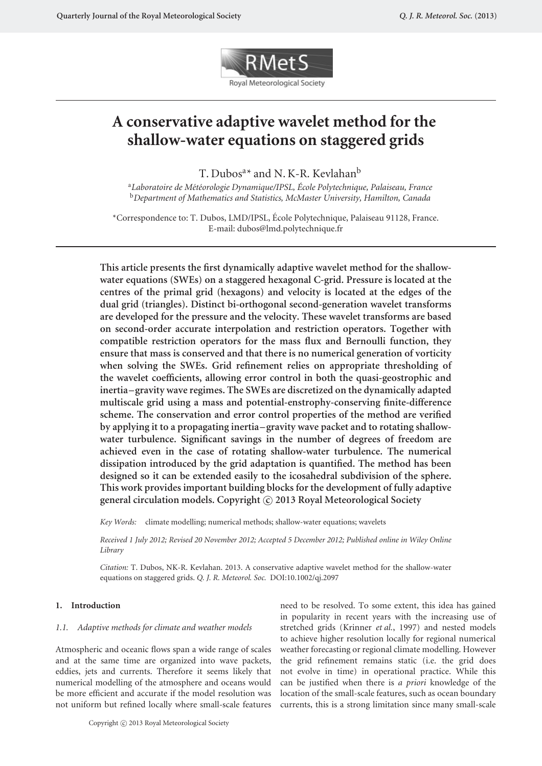

# **A conservative adaptive wavelet method for the shallow-water equations on staggered grids**

T. Dubos<sup>a\*</sup> and N. K-R. Kevlahan<sup>b</sup>

<sup>a</sup>*Laboratoire de M´et´eorologie Dynamique/IPSL, Ecole Polytechnique, Palaiseau, France ´* <sup>b</sup>*Department of Mathematics and Statistics, McMaster University, Hamilton, Canada*

\*Correspondence to: T. Dubos, LMD/IPSL, Ecole Polytechnique, Palaiseau 91128, France. ´ E-mail: dubos@lmd.polytechnique.fr

**This article presents the first dynamically adaptive wavelet method for the shallowwater equations (SWEs) on a staggered hexagonal C-grid. Pressure is located at the centres of the primal grid (hexagons) and velocity is located at the edges of the dual grid (triangles). Distinct bi-orthogonal second-generation wavelet transforms are developed for the pressure and the velocity. These wavelet transforms are based on second-order accurate interpolation and restriction operators. Together with compatible restriction operators for the mass flux and Bernoulli function, they ensure that mass is conserved and that there is no numerical generation of vorticity when solving the SWEs. Grid refinement relies on appropriate thresholding of the wavelet coefficients, allowing error control in both the quasi-geostrophic and inertia–gravity wave regimes. The SWEs are discretized on the dynamically adapted multiscale grid using a mass and potential-enstrophy-conserving finite-difference scheme. The conservation and error control properties of the method are verified by applying it to a propagating inertia–gravity wave packet and to rotating shallowwater turbulence. Significant savings in the number of degrees of freedom are achieved even in the case of rotating shallow-water turbulence. The numerical dissipation introduced by the grid adaptation is quantified. The method has been designed so it can be extended easily to the icosahedral subdivision of the sphere. This work provides important building blocks for the development of fully adaptive general circulation models. Copyright c 2013 Royal Meteorological Society**

*Key Words:* climate modelling; numerical methods; shallow-water equations; wavelets

*Received 1 July 2012; Revised 20 November 2012; Accepted 5 December 2012; Published online in Wiley Online Library*

*Citation:* T. Dubos, NK-R. Kevlahan. 2013. A conservative adaptive wavelet method for the shallow-water equations on staggered grids. *Q. J. R. Meteorol. Soc.* DOI:10.1002/qj.2097

# **1. Introduction**

#### *1.1. Adaptive methods for climate and weather models*

Atmospheric and oceanic flows span a wide range of scales and at the same time are organized into wave packets, eddies, jets and currents. Therefore it seems likely that numerical modelling of the atmosphere and oceans would be more efficient and accurate if the model resolution was not uniform but refined locally where small-scale features

need to be resolved. To some extent, this idea has gained in popularity in recent years with the increasing use of stretched grids (Krinner *et al.*, 1997) and nested models to achieve higher resolution locally for regional numerical weather forecasting or regional climate modelling. However the grid refinement remains static (i.e. the grid does not evolve in time) in operational practice. While this can be justified when there is *a priori* knowledge of the location of the small-scale features, such as ocean boundary currents, this is a strong limitation since many small-scale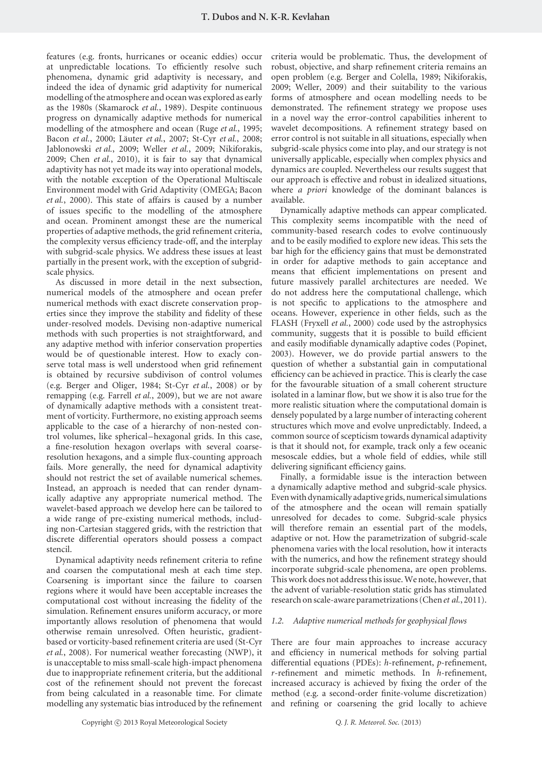features (e.g. fronts, hurricanes or oceanic eddies) occur at unpredictable locations. To efficiently resolve such phenomena, dynamic grid adaptivity is necessary, and indeed the idea of dynamic grid adaptivity for numerical modelling of the atmosphere and ocean was explored as early as the 1980s (Skamarock *et al.*, 1989). Despite continuous progress on dynamically adaptive methods for numerical modelling of the atmosphere and ocean (Ruge *et al.*, 1995; Bacon *et al.*, 2000; Läuter *et al.*, 2007; St-Cyr *et al.*, 2008; Jablonowski *et al.*, 2009; Weller *et al.*, 2009; Nikiforakis, 2009; Chen *et al.*, 2010), it is fair to say that dynamical adaptivity has not yet made its way into operational models, with the notable exception of the Operational Multiscale Environment model with Grid Adaptivity (OMEGA; Bacon *et al.*, 2000). This state of affairs is caused by a number of issues specific to the modelling of the atmosphere and ocean. Prominent amongst these are the numerical properties of adaptive methods, the grid refinement criteria, the complexity versus efficiency trade-off, and the interplay with subgrid-scale physics. We address these issues at least partially in the present work, with the exception of subgridscale physics.

As discussed in more detail in the next subsection, numerical models of the atmosphere and ocean prefer numerical methods with exact discrete conservation properties since they improve the stability and fidelity of these under-resolved models. Devising non-adaptive numerical methods with such properties is not straightforward, and any adaptive method with inferior conservation properties would be of questionable interest. How to exacly conserve total mass is well understood when grid refinement is obtained by recursive subdivison of control volumes (e.g. Berger and Oliger, 1984; St-Cyr *et al.*, 2008) or by remapping (e.g. Farrell *et al.*, 2009), but we are not aware of dynamically adaptive methods with a consistent treatment of vorticity. Furthermore, no existing approach seems applicable to the case of a hierarchy of non-nested control volumes, like spherical–hexagonal grids. In this case, a fine-resolution hexagon overlaps with several coarseresolution hexagons, and a simple flux-counting approach fails. More generally, the need for dynamical adaptivity should not restrict the set of available numerical schemes. Instead, an approach is needed that can render dynamically adaptive any appropriate numerical method. The wavelet-based approach we develop here can be tailored to a wide range of pre-existing numerical methods, including non-Cartesian staggered grids, with the restriction that discrete differential operators should possess a compact stencil.

Dynamical adaptivity needs refinement criteria to refine and coarsen the computational mesh at each time step. Coarsening is important since the failure to coarsen regions where it would have been acceptable increases the computational cost without increasing the fidelity of the simulation. Refinement ensures uniform accuracy, or more importantly allows resolution of phenomena that would otherwise remain unresolved. Often heuristic, gradientbased or vorticity-based refinement criteria are used (St-Cyr *et al.*, 2008). For numerical weather forecasting (NWP), it is unacceptable to miss small-scale high-impact phenomena due to inappropriate refinement criteria, but the additional cost of the refinement should not prevent the forecast from being calculated in a reasonable time. For climate modelling any systematic bias introduced by the refinement criteria would be problematic. Thus, the development of robust, objective, and sharp refinement criteria remains an open problem (e.g. Berger and Colella, 1989; Nikiforakis, 2009; Weller, 2009) and their suitability to the various forms of atmosphere and ocean modelling needs to be demonstrated. The refinement strategy we propose uses in a novel way the error-control capabilities inherent to wavelet decompositions. A refinement strategy based on error control is not suitable in all situations, especially when subgrid-scale physics come into play, and our strategy is not universally applicable, especially when complex physics and dynamics are coupled. Nevertheless our results suggest that our approach is effective and robust in idealized situations, where *a priori* knowledge of the dominant balances is available.

Dynamically adaptive methods can appear complicated. This complexity seems incompatible with the need of community-based research codes to evolve continuously and to be easily modified to explore new ideas. This sets the bar high for the efficiency gains that must be demonstrated in order for adaptive methods to gain acceptance and means that efficient implementations on present and future massively parallel architectures are needed. We do not address here the computational challenge, which is not specific to applications to the atmosphere and oceans. However, experience in other fields, such as the FLASH (Fryxell *et al.*, 2000) code used by the astrophysics community, suggests that it is possible to build efficient and easily modifiable dynamically adaptive codes (Popinet, 2003). However, we do provide partial answers to the question of whether a substantial gain in computational efficiency can be achieved in practice. This is clearly the case for the favourable situation of a small coherent structure isolated in a laminar flow, but we show it is also true for the more realistic situation where the computational domain is densely populated by a large number of interacting coherent structures which move and evolve unpredictably. Indeed, a common source of scepticism towards dynamical adaptivity is that it should not, for example, track only a few oceanic mesoscale eddies, but a whole field of eddies, while still delivering significant efficiency gains.

Finally, a formidable issue is the interaction between a dynamically adaptive method and subgrid-scale physics. Even with dynamically adaptive grids, numerical simulations of the atmosphere and the ocean will remain spatially unresolved for decades to come. Subgrid-scale physics will therefore remain an essential part of the models, adaptive or not. How the parametrization of subgrid-scale phenomena varies with the local resolution, how it interacts with the numerics, and how the refinement strategy should incorporate subgrid-scale phenomena, are open problems. This work does not address this issue. We note, however, that the advent of variable-resolution static grids has stimulated research on scale-aware parametrizations (Chen *et al.*, 2011).

# *1.2. Adaptive numerical methods for geophysical flows*

There are four main approaches to increase accuracy and efficiency in numerical methods for solving partial differential equations (PDEs): *h*-refinement, *p*-refinement, *r*-refinement and mimetic methods. In *h*-refinement, increased accuracy is achieved by fixing the order of the method (e.g. a second-order finite-volume discretization) and refining or coarsening the grid locally to achieve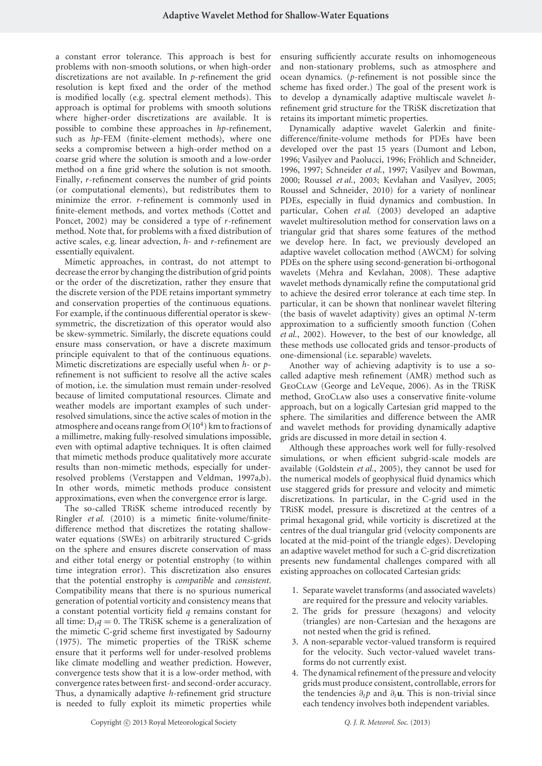a constant error tolerance. This approach is best for problems with non-smooth solutions, or when high-order discretizations are not available. In *p*-refinement the grid resolution is kept fixed and the order of the method is modified locally (e.g. spectral element methods). This approach is optimal for problems with smooth solutions where higher-order discretizations are available. It is possible to combine these approaches in *hp*-refinement, such as *hp*-FEM (finite-element methods), where one seeks a compromise between a high-order method on a coarse grid where the solution is smooth and a low-order method on a fine grid where the solution is not smooth. Finally, *r*-refinement conserves the number of grid points (or computational elements), but redistributes them to minimize the error. *r*-refinement is commonly used in finite-element methods, and vortex methods (Cottet and Poncet, 2002) may be considered a type of *r*-refinement method. Note that, for problems with a fixed distribution of active scales, e.g. linear advection, *h*- and *r*-refinement are essentially equivalent.

Mimetic approaches, in contrast, do not attempt to decrease the error by changing the distribution of grid points or the order of the discretization, rather they ensure that the discrete version of the PDE retains important symmetry and conservation properties of the continuous equations. For example, if the continuous differential operator is skewsymmetric, the discretization of this operator would also be skew-symmetric. Similarly, the discrete equations could ensure mass conservation, or have a discrete maximum principle equivalent to that of the continuous equations. Mimetic discretizations are especially useful when *h*- or *p*refinement is not sufficient to resolve all the active scales of motion, i.e. the simulation must remain under-resolved because of limited computational resources. Climate and weather models are important examples of such underresolved simulations, since the active scales of motion in the atmosphere and oceans range from  $O(10^4)$  km to fractions of a millimetre, making fully-resolved simulations impossible, even with optimal adaptive techniques. It is often claimed that mimetic methods produce qualitatively more accurate results than non-mimetic methods, especially for underresolved problems (Verstappen and Veldman, 1997a,b). In other words, mimetic methods produce consistent approximations, even when the convergence error is large.

The so-called TRiSK scheme introduced recently by Ringler *et al.* (2010) is a mimetic finite-volume/finitedifference method that discretizes the rotating shallowwater equations (SWEs) on arbitrarily structured C-grids on the sphere and ensures discrete conservation of mass and either total energy or potential enstrophy (to within time integration error). This discretization also ensures that the potential enstrophy is *compatible* and *consistent*. Compatibility means that there is no spurious numerical generation of potential vorticity and consistency means that a constant potential vorticity field *q* remains constant for all time:  $D_tq = 0$ . The TRiSK scheme is a generalization of the mimetic C-grid scheme first investigated by Sadourny (1975). The mimetic properties of the TRiSK scheme ensure that it performs well for under-resolved problems like climate modelling and weather prediction. However, convergence tests show that it is a low-order method, with convergence rates between first- and second-order accuracy. Thus, a dynamically adaptive *h*-refinement grid structure is needed to fully exploit its mimetic properties while

ensuring sufficiently accurate results on inhomogeneous and non-stationary problems, such as atmosphere and ocean dynamics. (*p*-refinement is not possible since the scheme has fixed order.) The goal of the present work is to develop a dynamically adaptive multiscale wavelet *h*refinement grid structure for the TRiSK discretization that retains its important mimetic properties.

Dynamically adaptive wavelet Galerkin and finitedifference/finite-volume methods for PDEs have been developed over the past 15 years (Dumont and Lebon, 1996; Vasilyev and Paolucci, 1996; Fröhlich and Schneider, 1996, 1997; Schneider *et al.*, 1997; Vasilyev and Bowman, 2000; Roussel *et al.*, 2003; Kevlahan and Vasilyev, 2005; Roussel and Schneider, 2010) for a variety of nonlinear PDEs, especially in fluid dynamics and combustion. In particular, Cohen *et al.* (2003) developed an adaptive wavelet multiresolution method for conservation laws on a triangular grid that shares some features of the method we develop here. In fact, we previously developed an adaptive wavelet collocation method (AWCM) for solving PDEs on the sphere using second-generation bi-orthogonal wavelets (Mehra and Kevlahan, 2008). These adaptive wavelet methods dynamically refine the computational grid to achieve the desired error tolerance at each time step. In particular, it can be shown that nonlinear wavelet filtering (the basis of wavelet adaptivity) gives an optimal *N*-term approximation to a sufficiently smooth function (Cohen *et al.*, 2002). However, to the best of our knowledge, all these methods use collocated grids and tensor-products of one-dimensional (i.e. separable) wavelets.

Another way of achieving adaptivity is to use a socalled adaptive mesh refinement (AMR) method such as GeoClaw (George and LeVeque, 2006). As in the TRiSK method, GEOCLAW also uses a conservative finite-volume approach, but on a logically Cartesian grid mapped to the sphere. The similarities and difference between the AMR and wavelet methods for providing dynamically adaptive grids are discussed in more detail in section 4.

Although these approaches work well for fully-resolved simulations, or when efficient subgrid-scale models are available (Goldstein *et al.*, 2005), they cannot be used for the numerical models of geophysical fluid dynamics which use staggered grids for pressure and velocity and mimetic discretizations. In particular, in the C-grid used in the TRiSK model, pressure is discretized at the centres of a primal hexagonal grid, while vorticity is discretized at the centres of the dual triangular grid (velocity components are located at the mid-point of the triangle edges). Developing an adaptive wavelet method for such a C-grid discretization presents new fundamental challenges compared with all existing approaches on collocated Cartesian grids:

- 1. Separate wavelet transforms (and associated wavelets) are required for the pressure and velocity variables.
- 2. The grids for pressure (hexagons) and velocity (triangles) are non-Cartesian and the hexagons are not nested when the grid is refined.
- 3. A non-separable vector-valued transform is required for the velocity. Such vector-valued wavelet transforms do not currently exist.
- 4. The dynamical refinement of the pressure and velocity grids must produce consistent, controllable, errors for the tendencies  $\partial_t p$  and  $\partial_t \mathbf{u}$ . This is non-trivial since each tendency involves both independent variables.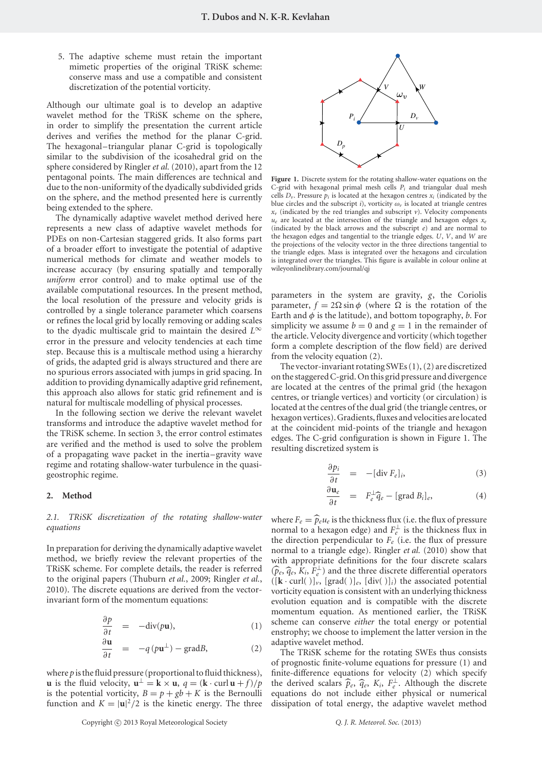5. The adaptive scheme must retain the important mimetic properties of the original TRiSK scheme: conserve mass and use a compatible and consistent discretization of the potential vorticity.

Although our ultimate goal is to develop an adaptive wavelet method for the TRiSK scheme on the sphere, in order to simplify the presentation the current article derives and verifies the method for the planar C-grid. The hexagonal–triangular planar C-grid is topologically similar to the subdivision of the icosahedral grid on the sphere considered by Ringler *et al.* (2010), apart from the 12 pentagonal points. The main differences are technical and due to the non-uniformity of the dyadically subdivided grids on the sphere, and the method presented here is currently being extended to the sphere.

The dynamically adaptive wavelet method derived here represents a new class of adaptive wavelet methods for PDEs on non-Cartesian staggered grids. It also forms part of a broader effort to investigate the potential of adaptive numerical methods for climate and weather models to increase accuracy (by ensuring spatially and temporally *uniform* error control) and to make optimal use of the available computational resources. In the present method, the local resolution of the pressure and velocity grids is controlled by a single tolerance parameter which coarsens or refines the local grid by locally removing or adding scales to the dyadic multiscale grid to maintain the desired *L*<sup>∞</sup> error in the pressure and velocity tendencies at each time step. Because this is a multiscale method using a hierarchy of grids, the adapted grid is always structured and there are no spurious errors associated with jumps in grid spacing. In addition to providing dynamically adaptive grid refinement, this approach also allows for static grid refinement and is natural for multiscale modelling of physical processes.

In the following section we derive the relevant wavelet transforms and introduce the adaptive wavelet method for the TRiSK scheme. In section 3, the error control estimates are verified and the method is used to solve the problem of a propagating wave packet in the inertia–gravity wave regime and rotating shallow-water turbulence in the quasigeostrophic regime.

## **2. Method**

*2.1. TRiSK discretization of the rotating shallow-water equations*

In preparation for deriving the dynamically adaptive wavelet method, we briefly review the relevant properties of the TRiSK scheme. For complete details, the reader is referred to the original papers (Thuburn *et al.*, 2009; Ringler *et al.*, 2010). The discrete equations are derived from the vectorinvariant form of the momentum equations:

$$
\frac{\partial p}{\partial t} = -\text{div}(p\mathbf{u}),\tag{1}
$$

$$
\frac{\partial \mathbf{u}}{\partial t} = -q(p\mathbf{u}^{\perp}) - \text{grad}B,
$$
 (2)

where *p* is the fluid pressure (proportional to fluid thickness), **u** is the fluid velocity,  $\mathbf{u}^{\perp} = \mathbf{k} \times \mathbf{u}$ ,  $q = (\mathbf{k} \cdot \text{curl} \mathbf{u} + f)/p$ is the potential vorticity,  $B = p + gb + K$  is the Bernoulli function and  $K = |{\bf u}|^2/2$  is the kinetic energy. The three



Figure 1. Discrete system for the rotating shallow-water equations on the C-grid with hexagonal primal mesh cells *Pi* and triangular dual mesh cells  $D_{\nu}$ . Pressure  $p_i$  is located at the hexagon centres  $x_i$  (indicated by the blue circles and the subscript *i*), vorticity  $\omega$ <sup>*v*</sup> is located at triangle centres  $x<sub>v</sub>$  (indicated by the red triangles and subscript *v*). Velocity components  $u_e$  are located at the intersection of the triangle and hexagon edges  $x_e$ (indicated by the black arrows and the subscript *e*) and are normal to the hexagon edges and tangential to the triangle edges. *U*, *V*, and *W* are the projections of the velocity vector in the three directions tangential to the triangle edges. Mass is integrated over the hexagons and circulation is integrated over the triangles. This figure is available in colour online at wileyonlinelibrary.com/journal/qj

parameters in the system are gravity, *g*, the Coriolis parameter,  $f = 2\Omega \sin \phi$  (where  $\Omega$  is the rotation of the Earth and  $\phi$  is the latitude), and bottom topography, *b*. For simplicity we assume  $b = 0$  and  $g = 1$  in the remainder of the article. Velocity divergence and vorticity (which together form a complete description of the flow field) are derived from the velocity equation (2).

The vector-invariant rotating SWEs (1), (2) are discretized on the staggered C-grid. On this grid pressure and divergence are located at the centres of the primal grid (the hexagon centres, or triangle vertices) and vorticity (or circulation) is located at the centres of the dual grid (the triangle centres, or hexagon vertices). Gradients, fluxes and velocities are located at the coincident mid-points of the triangle and hexagon edges. The C-grid configuration is shown in Figure 1. The resulting discretized system is

$$
\frac{\partial p_i}{\partial t} = -[\operatorname{div} F_e]_i,\tag{3}
$$

$$
\frac{\partial \mathbf{u}_e}{\partial t} = F_e^{\perp} \widehat{q}_e - [\text{grad } B_i]_e, \tag{4}
$$

where  $F_e = \hat{p}_e u_e$  is the thickness flux (i.e. the flux of pressure normal to a hexagon edge) and  $F_e^{\perp}$  is the thickness flux in the direction perpendicular to *Fe* (i.e. the flux of pressure normal to a triangle edge). Ringler *et al.* (2010) show that with appropriate definitions for the four discrete scalars  $(\widehat{p}_e, \widehat{q}_e, \widetilde{K}_i, \widehat{F}_e^{\perp})$  and the three discrete differential operators  $([{\bf k} \cdot \text{curl}( )]_{\nu}$ , [grad()]<sub>e</sub>, [div()]<sub>i</sub>) the associated potential vorticity equation is consistent with an underlying thickness evolution equation and is compatible with the discrete momentum equation. As mentioned earlier, the TRiSK scheme can conserve *either* the total energy or potential enstrophy; we choose to implement the latter version in the adaptive wavelet method.

The TRiSK scheme for the rotating SWEs thus consists of prognostic finite-volume equations for pressure (1) and finite-difference equations for velocity (2) which specify the derived scalars  $\hat{p}_e$ ,  $\hat{q}_e$ ,  $K_i$ ,  $F_e^{\perp}$ . Although the discrete equations do not include either physical or numerical dissipation of total energy, the adaptive wavelet method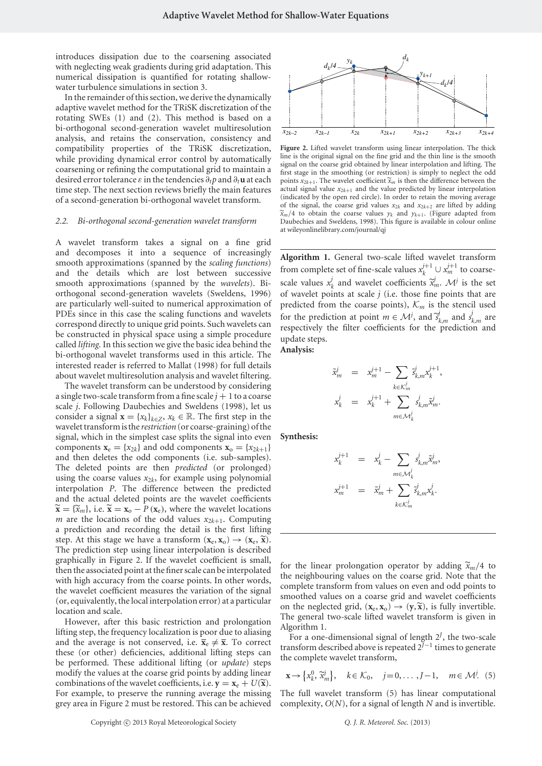introduces dissipation due to the coarsening associated with neglecting weak gradients during grid adaptation. This numerical dissipation is quantified for rotating shallowwater turbulence simulations in section 3.

In the remainder of this section, we derive the dynamically adaptive wavelet method for the TRiSK discretization of the rotating SWEs (1) and (2). This method is based on a bi-orthogonal second-generation wavelet multiresolution analysis, and retains the conservation, consistency and compatibility properties of the TRiSK discretization, while providing dynamical error control by automatically coarsening or refining the computational grid to maintain a desired error tolerance *ε* in the tendencies *∂tp* and *∂t***u** at each time step. The next section reviews briefly the main features of a second-generation bi-orthogonal wavelet transform.

#### *2.2. Bi-orthogonal second-generation wavelet transform*

A wavelet transform takes a signal on a fine grid and decomposes it into a sequence of increasingly smooth approximations (spanned by the *scaling functions*) and the details which are lost between successive smooth approximations (spanned by the *wavelets*). Biorthogonal second-generation wavelets (Sweldens, 1996) are particularly well-suited to numerical approximation of PDEs since in this case the scaling functions and wavelets correspond directly to unique grid points. Such wavelets can be constructed in physical space using a simple procedure called *lifting.* In this section we give the basic idea behind the bi-orthogonal wavelet transforms used in this article. The interested reader is referred to Mallat (1998) for full details about wavelet multiresolution analysis and wavelet filtering.

The wavelet transform can be understood by considering a single two-scale transform from a fine scale  $j + 1$  to a coarse scale *j*. Following Daubechies and Sweldens (1998), let us consider a signal  $\mathbf{x} = \{x_k\}_{k \in \mathbb{Z}}$ ,  $x_k \in \mathbb{R}$ . The first step in the wavelet transform is the *restriction* (or coarse-graining) of the signal, which in the simplest case splits the signal into even components  $\mathbf{x}_e = \{x_{2k}\}\$ and odd components  $\mathbf{x}_o = \{x_{2k+1}\}\$ and then deletes the odd components (i.e. sub-samples). The deleted points are then *predicted* (or prolonged) using the coarse values  $x_{2k}$ , for example using polynomial interpolation *P*. The difference between the predicted and the actual deleted points are the wavelet coefficients  $\widetilde{\mathbf{x}} = {\widetilde{\mathbf{x}}_m}$ , i.e.  $\widetilde{\mathbf{x}} = \mathbf{x}_0 - P(\mathbf{x}_e)$ , where the wavelet locations *m* are the locations of the odd values  $x_{2k+1}$ . Computing a prediction and recording the detail is the first lifting step. At this stage we have a transform  $(\mathbf{x}_e, \mathbf{x}_0) \rightarrow (\mathbf{x}_e, \widetilde{\mathbf{x}})$ .<br>The non-ligitimental number linear intermediation is described The prediction step using linear interpolation is described graphically in Figure 2. If the wavelet coefficient is small, then the associated point at the finer scale can be interpolated with high accuracy from the coarse points. In other words, the wavelet coefficient measures the variation of the signal (or, equivalently, the local interpolation error) at a particular location and scale.

However, after this basic restriction and prolongation lifting step, the frequency localization is poor due to aliasing and the average is not conserved, i.e.  $\bar{\mathbf{x}}_e \neq \bar{\mathbf{x}}$ . To correct these (or other) deficiencies, additional lifting steps can be performed. These additional lifting (or *update*) steps modify the values at the coarse grid points by adding linear combinations of the wavelet coefficients, i.e.  $\mathbf{y} = \mathbf{x}_e + U(\tilde{\mathbf{x}})$ . For example, to preserve the running average the missing grey area in Figure 2 must be restored. This can be achieved



**Figure 2.** Lifted wavelet transform using linear interpolation. The thick line is the original signal on the fine grid and the thin line is the smooth signal on the coarse grid obtained by linear interpolation and lifting. The first stage in the smoothing (or restriction) is simply to neglect the odd points  $x_{2k+1}$ . The wavelet coefficient  $\widetilde{x}_m$  is then the difference between the actual signal value  $x_{2k+1}$  and the value predicted by linear interpolation (indicated by the open red circle). In order to retain the moving average of the signal, the coarse grid values  $x_{2k}$  and  $x_{2k+2}$  are lifted by adding  $\widetilde{x}_m/4$  to obtain the coarse values  $y_k$  and  $y_{k+1}$ . (Figure adapted from Daubechies and Sweldens, 1998). This figure is available in colour online at wileyonlinelibrary.com/journal/qj

**Algorithm 1.** General two-scale lifted wavelet transform from complete set of fine-scale values  $x_k^{j+1} \cup x_m^{j+1}$  to coarsescale values  $x_k^j$  and wavelet coefficients  $\tilde{x}_m^j$ .  $\mathcal{M}^j$  is the set of wavelet points at scale *j* (i.e. those fine points that are predicted from the coarse points),  $\mathcal{K}_m$  is the stencil used for the prediction at point  $m \in \mathcal{M}^j$ , and  $\vec{s}^j_{k,m}$  and  $\vec{s}^j_{k,m}$  are respectively the filter coefficients for the prediction and update steps.

**Analysis:**

$$
\tilde{x}_{m}^{j} = x_{m}^{j+1} - \sum_{k \in \mathcal{K}_{m}^{j}} \tilde{s}_{k,m}^{j} x_{k}^{j+1},
$$
  

$$
x_{k}^{j} = x_{k}^{j+1} + \sum_{m \in \mathcal{M}_{k}^{j}} s_{k,m}^{j} \tilde{x}_{m}^{j}.
$$

**Synthesis:**

$$
x_k^{j+1} = x_k^j - \sum_{m \in \mathcal{M}_k^j} s_{k,m}^j \tilde{x}_m^j,
$$
  

$$
x_m^{j+1} = \tilde{x}_m^j + \sum_{k \in \mathcal{K}_m^j} \tilde{s}_{k,m}^j x_k^j.
$$

for the linear prolongation operator by adding  $\widetilde{x}_m/4$  to the neighbouring values on the coarse grid. Note that the complete transform from values on even and odd points to smoothed values on a coarse grid and wavelet coefficients on the neglected grid,  $(\mathbf{x}_e, \mathbf{x}_o) \rightarrow (\mathbf{y}, \mathbf{\hat{x}})$ , is fully invertible. The general two-scale lifted wavelet transform is given in Algorithm 1.

For a one-dimensional signal of length 2*<sup>J</sup>* , the two-scale transform described above is repeated  $2^{J-1}$  times to generate the complete wavelet transform,

$$
\mathbf{x} \to \left\{ x_k^0, \, \widetilde{\mathbf{x}}_m^j \right\}, \quad k \in \mathcal{K}_0, \quad j = 0, \ldots, J - 1, \quad m \in \mathcal{M}^j. \tag{5}
$$

The full wavelet transform (5) has linear computational complexity, *O*(*N*), for a signal of length *N* and is invertible.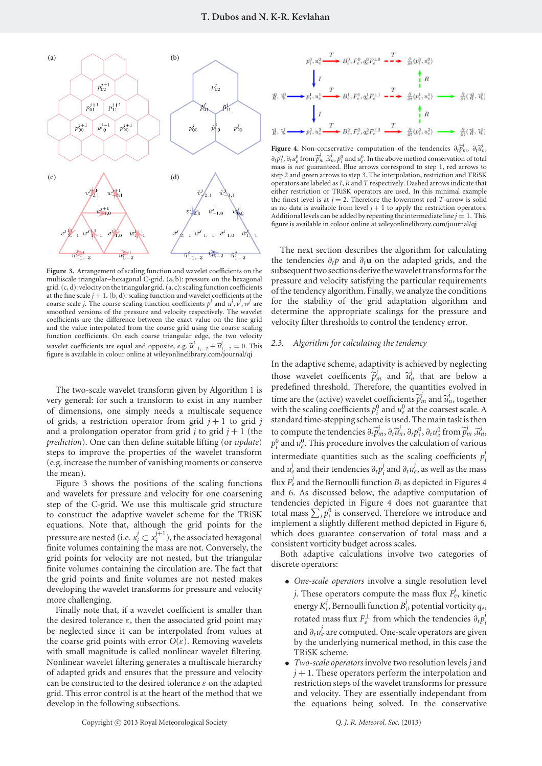

**Figure 3.** Arrangement of scaling function and wavelet coefficients on the multiscale triangular–hexagonal C-grid. (a, b): pressure on the hexagonal grid. (c, d): velocity on the triangular grid. (a, c): scaling function coefficients at the fine scale  $j + 1$ . (b, d): scaling function and wavelet coefficients at the coarse scale *j*. The coarse scaling function coefficients  $p^j$  and  $u^j$ ,  $v^j$ ,  $w^j$  are smoothed versions of the pressure and velocity respectively. The wavelet coefficients are the difference between the exact value on the fine grid and the value interpolated from the coarse grid using the coarse scaling function coefficients. On each coarse triangular edge, the two velocity wavelet coefficients are equal and opposite, e.g.  $\tilde{u}_{-1,-2}^j + \tilde{u}_{1,-2}^j = 0$ . This figure is available in colour online at wileyonlinelibrary.com/journal/qj

The two-scale wavelet transform given by Algorithm 1 is very general: for such a transform to exist in any number of dimensions, one simply needs a multiscale sequence of grids, a restriction operator from grid  $j + 1$  to grid  $j$ and a prolongation operator from grid  $j$  to grid  $j + 1$  (the *prediction*). One can then define suitable lifting (or *update*) steps to improve the properties of the wavelet transform (e.g. increase the number of vanishing moments or conserve the mean).

Figure 3 shows the positions of the scaling functions and wavelets for pressure and velocity for one coarsening step of the C-grid. We use this multiscale grid structure to construct the adaptive wavelet scheme for the TRiSK equations. Note that, although the grid points for the pressure are nested (i.e.  $x_i^j \subset x_i^{j+1}$ ), the associated hexagonal finite volumes containing the mass are not. Conversely, the grid points for velocity are not nested, but the triangular finite volumes containing the circulation are. The fact that the grid points and finite volumes are not nested makes developing the wavelet transforms for pressure and velocity more challenging.

Finally note that, if a wavelet coefficient is smaller than the desired tolerance  $\varepsilon$ , then the associated grid point may be neglected since it can be interpolated from values at the coarse grid points with error  $O(\varepsilon)$ . Removing wavelets with small magnitude is called nonlinear wavelet filtering. Nonlinear wavelet filtering generates a multiscale hierarchy of adapted grids and ensures that the pressure and velocity can be constructed to the desired tolerance *ε* on the adapted grid. This error control is at the heart of the method that we develop in the following subsections.



**Figure 4.** Non-conservative computation of the tendencies  $\partial_t \tilde{p}_m^j$ ,  $\partial_t \tilde{u}_n^j$ ,  $\partial_t p_i^0$ ,  $\partial_t u_e^0$  from  $\tilde{p}_m^j$ ,  $\tilde{u}_m^j$ ,  $p_i^0$  and  $u_e^0$ . In the above method conservation of total mass is *not* guaranteed. Blue arrows correspond to step 1, red arrows to step 2 and green arrows to step 3. The interpolation, restriction and TRiSK operators are labeled as *I*, *R* and *T* respectively. Dashed arrows indicate that either restriction or TRiSK operators are used. In this minimal example the finest level is at  $j = 2$ . Therefore the lowermost red *T*-arrow is solid as no data is available from level  $j + 1$  to apply the restriction operators. Additional levels can be added by repeating the intermediate line  $j = 1$ . This figure is available in colour online at wileyonlinelibrary.com/journal/qj

The next section describes the algorithm for calculating the tendencies *∂tp* and *∂t***u** on the adapted grids, and the subsequent two sections derive the wavelet transforms for the pressure and velocity satisfying the particular requirements of the tendency algorithm. Finally, we analyze the conditions for the stability of the grid adaptation algorithm and determine the appropriate scalings for the pressure and velocity filter thresholds to control the tendency error.

# *2.3. Algorithm for calculating the tendency*

In the adaptive scheme, adaptivity is achieved by neglecting those wavelet coefficents  $\tilde{p}_m^j$  and  $\tilde{u}_n^j$  that are below a<br>*uncleared* that half Thomfore the approximate unled in predefined threshold. Therefore, the quantities evolved in time are the (active) wavelet coefficients  $\tilde{p}^j_m$  and  $\tilde{u}^j_n$ , together with the scaling coefficients  $p_i^0$  and  $u_e^0$  at the coarsest scale. A standard time-stepping scheme is used. The main task is then to compute the tendencies  $\partial_t \tilde{p}'_m$ ,  $\partial_t \tilde{u}'_n$ ,  $\partial_t p_i^0$ ,  $\partial_t u_e^0$  from  $\tilde{p}'_m$ ,  $\tilde{u}'_n$ ,  $p_i^0$  and  $u_e^0$ . This procedure involves the calculation of various intermediate quantities such as the scaling coefficients  $p_i^j$ *i* and  $\vec{u_e}$  and their tendencies  $\partial_t p_i^j$  and  $\partial_t \vec{u_e}$ , as well as the mass flux  $F_e^j$  and the Bernoulli function  $B_i$  as depicted in Figures 4 and 6. As discussed below, the adaptive computation of tendencies depicted in Figure 4 does not guarantee that total mass  $\sum_i p_i^0$  is conserved. Therefore we introduce and implement a slightly different method depicted in Figure 6, which does guarantee conservation of total mass and a consistent vorticity budget across scales.

Both adaptive calculations involve two categories of discrete operators:

- *One-scale operators* involve a single resolution level *j*. These operators compute the mass flux  $F_e^j$ , kinetic energy  $K_i^j$ , Bernoulli function  $B_i^j$ , potential vorticity  $q_e$ , rotated mass flux  $F_e^{\perp}$  from which the tendencies  $\partial_t p_i^j$ *i* and  $\partial_t u^j_e$  are computed. One-scale operators are given by the underlying numerical method, in this case the TRiSK scheme.
- *Two-scale operators* involve two resolution levels *j* and  $j + 1$ . These operators perform the interpolation and restriction steps of the wavelet transforms for pressure and velocity. They are essentially independant from the equations being solved. In the conservative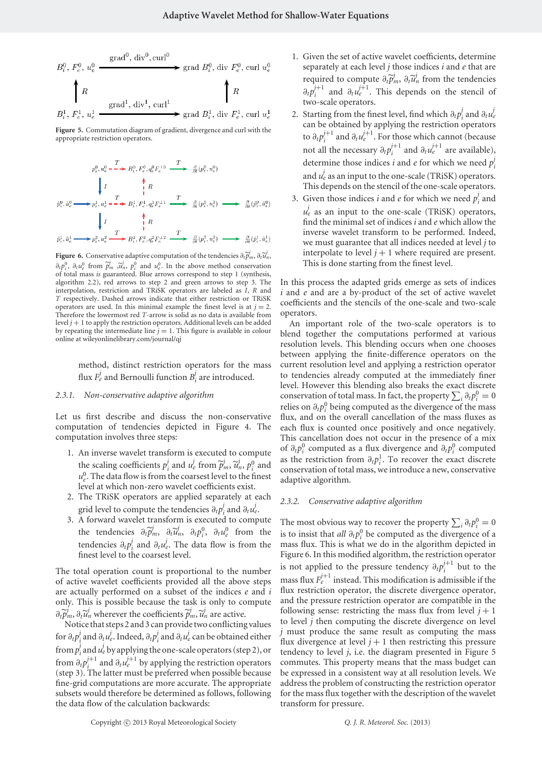$$
B_i^0, F_e^0, u_e^0 \xrightarrow{\text{grad}^0, \text{ div}^0, \text{ curl}^0} \text{grad } B_i^0, \text{ div } F_e^0, \text{ curl } u_e^0
$$
\n
$$
\uparrow R
$$
\n
$$
B_i^1, F_e^1, u_e^1 \xrightarrow{\text{grad}^1, \text{ div}^1, \text{ curl}^1} \text{grad } B_i^1, \text{ div } F_e^1, \text{ curl } u_e^1
$$

**Figure 5.** Commutation diagram of gradient, divergence and curl with the appropriate restriction operators.

$$
\begin{array}{ccccccc}\np_i^0, u_e^0-\overline{\phantom{a}}&\rightarrow& B_i^0, F_e^0, q_e^0F_e^{+0}&\overline{\phantom{a}}&\overline{\phantom{a}}&\overline{\phantom{a}}&\partial_t^0 (p_i^0, u_e^0)\\ & &\Big\downarrow I& & &\\ \hline\np_i^0, \tilde{u}_e^0\longrightarrow&p_i^1, u_e^1-\overline{\phantom{a}}&\rightarrow& B_i^1, F_e^1, q_e^1F_e^{ \pm 1}&\overline{\phantom{a}}&\overline{\partial_t^0 (p_i^1, u_e^1)}&\longrightarrow&\overline{\partial_t^0(\tilde{p}_i^0, \tilde{u}_e^0)}\\ & &\Big\downarrow I& & &\\ \hline\n\tilde{p}_i^1, \tilde{u}_e^1\longrightarrow&p_i^2, u_e^2\longrightarrow&B_i^2, F_e^2, q_e^2F_e^{ \pm 2}&\longrightarrow&\overline{\partial_t^0 (p_i^2, u_e^2)}&\longrightarrow&\overline{\partial_t^1(\tilde{p}_i^1, \tilde{u}_e^1)}\\ \end{array}
$$

**Figure 6.** Conservative adaptive computation of the tendencies  $\partial_t \tilde{p}_m^j$ ,  $\partial_t \tilde{u}_n^j$ ,  $\frac{\partial_t p_i^0}{\partial t}$ ,  $\frac{\partial_t u_i^0}{\partial t}$  from  $\tilde{p}_m^j$ ,  $\tilde{u}_m^j$ ,  $p_i^0$  and  $u_i^0$ . In the above method conservation of total mass *is* guaranteed. Blue arrows correspond to step 1 (synthesis, algorithm 2.2), red arrows to step 2 and green arrows to step 3. The interpolation, restriction and TRiSK operators are labeled as *I*, *R* and *T* respectively. Dashed arrows indicate that either restriction or TRiSK operators are used. In this minimal example the finest level is at  $j = 2$ . Therefore the lowermost red *T*-arrow is solid as no data is available from level  $j + 1$  to apply the restriction operators. Additional levels can be added by repeating the intermediate line  $j = 1$ . This figure is available in colour online at wileyonlinelibrary.com/journal/qj

method, distinct restriction operators for the mass flux  $F_e^j$  and Bernoulli function  $B_i^j$  are introduced.

#### *2.3.1. Non-conservative adaptive algorithm*

Let us first describe and discuss the non-conservative computation of tendencies depicted in Figure 4. The computation involves three steps:

- 1. An inverse wavelet transform is executed to compute the scaling coefficients  $p_i^j$  and  $u_e^j$  from  $\widetilde{p}_m^j$ ,  $\widetilde{u}_n^j$ ,  $p_i^0$  and  $u_e^0$ . The data flow is from the coarsest level to the finest level at which non-zero wavelet coefficients exist.
- 2. The TRiSK operators are applied separately at each grid level to compute the tendencies  $\partial_t p^j_i$  and  $\partial_t u^j_e$ .
- 3. A forward wavelet transform is executed to compute the tendencies  $\partial_t \tilde{p}_m^j$ ,  $\partial_t \tilde{u}_n^j$ ,  $\partial_t p_i^0$ ,  $\partial_t u_e^0$  from the tendencies  $\partial_t p_i^j$  and  $\partial_t u_e^j$ . The data flow is from the finest level to the coarsest level.

The total operation count is proportional to the number of active wavelet coefficients provided all the above steps are actually performed on a subset of the indices *e* and *i* only. This is possible because the task is only to compute  $\frac{\partial_t \tilde{p}'_m}{\partial t}$ ,  $\frac{\partial_t \tilde{u}'_n}{\partial t}$  wherever the coefficients  $\tilde{p}'_m$ ,  $\tilde{u}'_n$  are active.

Notice that steps 2 and 3 can provide two conflicting values for  $\partial_t p_i^j$  and  $\partial_t u_e^j$ . Indeed,  $\partial_t p_i^j$  and  $\partial_t u_e^j$  can be obtained either from  $p_i^j$  and  $u_e^j$  by applying the one-scale operators (step 2), or from  $\partial_t p_i^{j+1}$  and  $\partial_t u_e^{j+1}$  by applying the restriction operators (step 3). The latter must be preferred when possible because fine-grid computations are more accurate. The appropriate subsets would therefore be determined as follows, following the data flow of the calculation backwards:

- 1. Given the set of active wavelet coefficients, determine separately at each level *j* those indices *i* and *e* that are required to compute  $\partial_t \tilde{p}_m^j$ ,  $\partial_t \tilde{u}_n^j$  from the tendencies  $\partial_t p_i^{j+1}$  and  $\partial_t u_e^{j+1}$ . This depends on the stencil of two-scale operators.
- 2. Starting from the finest level, find which  $\partial_t p_i^j$  and  $\partial_t u_e^j$ can be obtained by applying the restriction operators to  $\partial_t p_i^{j+1}$  and  $\partial_t u_e^{j+1}$ . For those which cannot (because not all the necessary  $\partial_t p_i^{j+1}$  and  $\partial_t u_e^{j+1}$  are available), determine those indices *i* and *e* for which we need  $p_i^j$ *i* and  $\mathcal{u}^j_e$  as an input to the one-scale (TRiSK) operators. This depends on the stencil of the one-scale operators.
- 3. Given those indices *i* and *e* for which we need  $p_i^j$  and  $u_e^j$  as an input to the one-scale (TRiSK) operators, find the minimal set of indices *i* and *e* which allow the inverse wavelet transform to be performed. Indeed, we must guarantee that all indices needed at level *j* to interpolate to level  $j + 1$  where required are present. This is done starting from the finest level.

In this process the adapted grids emerge as sets of indices *i* and *e* and are a by-product of the set of active wavelet coefficients and the stencils of the one-scale and two-scale operators.

An important role of the two-scale operators is to blend together the computations performed at various resolution levels. This blending occurs when one chooses between applying the finite-difference operators on the current resolution level and applying a restriction operator to tendencies already computed at the immediately finer level. However this blending also breaks the exact discrete conservation of total mass. In fact, the property  $\sum_i \partial_i p_i^0 = 0$ relies on  $\partial_t p_i^0$  being computed as the divergence of the mass flux, and on the overall cancellation of the mass fluxes as each flux is counted once positively and once negatively. This cancellation does not occur in the presence of a mix of  $\partial_t p_i^0$  computed as a flux divergence and  $\partial_t p_i^0$  computed as the restriction from  $\partial_t p_i^1$ . To recover the exact discrete conservation of total mass, we introduce a new, conservative adaptive algorithm.

# *2.3.2. Conservative adaptive algorithm*

The most obvious way to recover the property  $\sum_i \partial_i p_i^0 = 0$ is to insist that *all*  $\partial_t p_i^0$  be computed as the divergence of a mass flux. This is what we do in the algorithm depicted in Figure 6. In this modified algorithm, the restriction operator is not applied to the pressure tendency  $\partial_t p_i^{j+1}$  but to the mass flux  $F_e^{j+1}$  instead. This modification is admissible if the flux restriction operator, the discrete divergence operator, and the pressure restriction operator are compatible in the following sense: restricting the mass flux from level  $j + 1$ to level *j* then computing the discrete divergence on level *j* must produce the same result as computing the mass flux divergence at level  $j + 1$  then restricting this pressure tendency to level *j*, i.e. the diagram presented in Figure 5 commutes. This property means that the mass budget can be expressed in a consistent way at all resolution levels. We address the problem of constructing the restriction operator for the mass flux together with the description of the wavelet transform for pressure.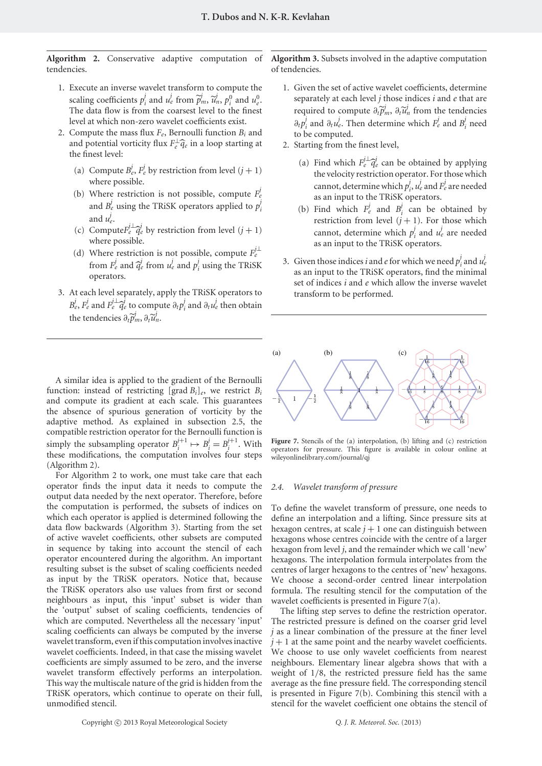**Algorithm 2.** Conservative adaptive computation of tendencies.

- 1. Execute an inverse wavelet transform to compute the scaling coefficients  $p_i^j$  and  $u_e^j$  from  $\tilde{p}_m^j$ ,  $\tilde{u}_n^j$ ,  $p_i^0$  and  $u_e^0$ . The data flow is from the coarsest level to the finest level at which non-zero wavelet coefficients exist.
- 2. Compute the mass flux  $F_e$ , Bernoulli function  $B_i$  and and potential vorticity flux  $F_e^{\perp} \widehat{q}_e$  in a loop starting at the finest level:
	- (a) Compute  $B_e^j$ ,  $F_e^j$  by restriction from level (*j* + 1) where possible.
	- (b) Where restriction is not possible, compute  $F_e^j$ and  $B_e^j$  using the TRiSK operators applied to  $p_i^j$ *i* and  $u^j_e$ .
	- (c) Compute $F_e^{j\perp} \hat{q}_e^j$  by restriction from level  $(j+1)$ where possible.
	- (d) Where restriction is not possible, compute  $F_e^{j\perp}$ from  $F_e^j$  and  $\hat{q}_e^j$  from  $u_e^j$  and  $p_i^j$  using the TRiSK operators.
- 3. At each level separately, apply the TRiSK operators to *B*<sup>*j*</sup>, *F*<sup>*j*</sup> and *F*<sup>*j*</sup><sup>⊥</sup> $\overrightarrow{q}$ <sup>*j*</sup> compute  $\partial_t p^j$  and  $\partial_t u^j$  then obtain the tendencies  $\partial_t \tilde{p}_m^j, \partial_t \tilde{u}_n^j$ .

**Algorithm 3.** Subsets involved in the adaptive computation of tendencies.

- 1. Given the set of active wavelet coefficients, determine separately at each level *j* those indices *i* and *e* that are required to compute  $\partial_t \tilde{p}_m^j$ ,  $\partial_t \tilde{u}_n^j$  from the tendencies  $\partial_t p_i^j$  and  $\partial_t u_e^j$ . Then determine which  $F_e^j$  and  $B_i^j$  need to be computed.
- 2. Starting from the finest level,
	- (a) Find which  $F_e^j \overline{q}_e^j$  can be obtained by applying the velocity restriction operator. For those which cannot, determine which *p j*  $\mu$ <sup>*j*</sup>,  $u$ <sup>*j*</sup> and  $F$ <sup>*j*</sup> are needed as an input to the TRiSK operators.
	- (b) Find which  $F_e^j$  and  $B_i^j$  can be obtained by restriction from level  $(j + 1)$ . For those which cannot, determine which  $p_i^j$  and  $u_e^j$  are needed as an input to the TRiSK operators.
- 3. Given those indices *i* and *e* for which we need  $p_i^j$  and  $u_e^j$ as an input to the TRiSK operators, find the minimal set of indices *i* and *e* which allow the inverse wavelet transform to be performed.

A similar idea is applied to the gradient of the Bernoulli function: instead of restricting  $[\text{grad } B_i]_e$ , we restrict  $B_i$ and compute its gradient at each scale. This guarantees the absence of spurious generation of vorticity by the adaptive method. As explained in subsection 2.5, the compatible restriction operator for the Bernoulli function is simply the subsampling operator  $B_i^{j+1} \mapsto B_i^j = B_i^{j+1}$ . With these modifications, the computation involves four steps (Algorithm 2).

For Algorithm 2 to work, one must take care that each operator finds the input data it needs to compute the output data needed by the next operator. Therefore, before the computation is performed, the subsets of indices on which each operator is applied is determined following the data flow backwards (Algorithm 3). Starting from the set of active wavelet coefficients, other subsets are computed in sequence by taking into account the stencil of each operator encountered during the algorithm. An important resulting subset is the subset of scaling coefficients needed as input by the TRiSK operators. Notice that, because the TRiSK operators also use values from first or second neighbours as input, this 'input' subset is wider than the 'output' subset of scaling coefficients, tendencies of which are computed. Nevertheless all the necessary 'input' scaling coefficients can always be computed by the inverse wavelet transform, even if this computation involves inactive wavelet coefficients. Indeed, in that case the missing wavelet coefficients are simply assumed to be zero, and the inverse wavelet transform effectively performs an interpolation. This way the multiscale nature of the grid is hidden from the TRiSK operators, which continue to operate on their full, unmodified stencil.



**Figure 7.** Stencils of the (a) interpolation, (b) lifting and (c) restriction operators for pressure. This figure is available in colour online at wileyonlinelibrary.com/journal/qj

# *2.4. Wavelet transform of pressure*

To define the wavelet transform of pressure, one needs to define an interpolation and a lifting. Since pressure sits at hexagon centres, at scale  $j + 1$  one can distinguish between hexagons whose centres coincide with the centre of a larger hexagon from level *j*, and the remainder which we call 'new' hexagons. The interpolation formula interpolates from the centres of larger hexagons to the centres of 'new' hexagons. We choose a second-order centred linear interpolation formula. The resulting stencil for the computation of the wavelet coefficients is presented in Figure 7(a).

The lifting step serves to define the restriction operator. The restricted pressure is defined on the coarser grid level *j* as a linear combination of the pressure at the finer level  $j + 1$  at the same point and the nearby wavelet coefficients. We choose to use only wavelet coefficients from nearest neighbours. Elementary linear algebra shows that with a weight of 1*/*8, the restricted pressure field has the same average as the fine pressure field. The corresponding stencil is presented in Figure 7(b). Combining this stencil with a stencil for the wavelet coefficient one obtains the stencil of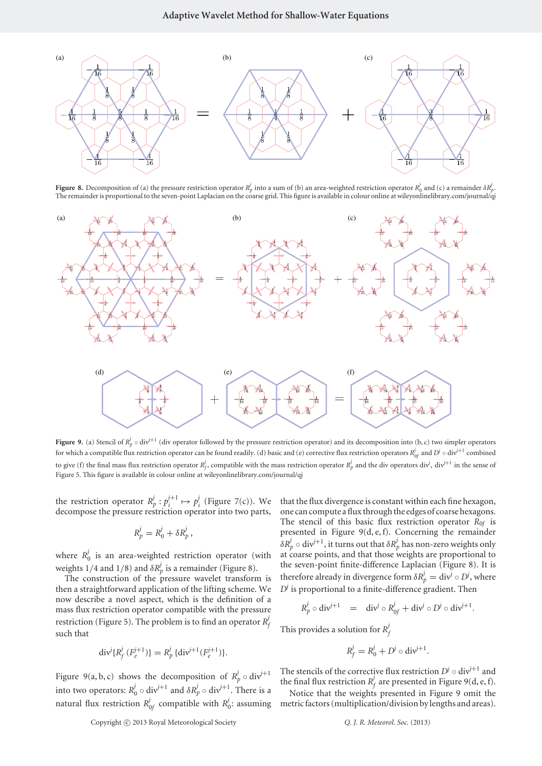

**Figure 8.** Decomposition of (a) the pressure restriction operator  $R_p^j$  into a sum of (b) an area-weighted restriction operator  $R_0^j$  and (c) a remainder  $\delta R_p^j$ . The remainder is proportional to the seven-point Laplacian on the coarse grid. This figure is available in colour online at wileyonlinelibrary.com/journal/qj



**Figure 9.** (a) Stencil of  $R_p^j \circ \text{div}^{j+1}$  (div operator followed by the pressure restriction operator) and its decomposition into (b, c) two simpler operators for which a compatible flux restriction operator can be found readily. (d) basic and (e) corrective flux restriction operators  $R^j_{0f}$  and  $D^j \circ \text{div}^{j+1}$  combined to give (f) the final mass flux restriction operator  $R_f^j$ , compatible with the mass restriction operator  $R_f^j$  and the div operators div<sup>*j*</sup>, div<sup>*j*+1</sup> in the sense of Figure 5. This figure is available in colour online at wileyonlinelibrary.com/journal/qj

the restriction operator  $R_p^j : p_i^{j+1} \mapsto p_i^j$  (Figure 7(c)). We decompose the pressure restriction operator into two parts,

$$
R_p^j = R_0^j + \delta R_p^j,
$$

where  $R_0^j$  is an area-weighted restriction operator (with weights  $1/4$  and  $1/8$ ) and  $\delta R_p^j$  is a remainder (Figure 8).

The construction of the pressure wavelet transform is then a straightforward application of the lifting scheme. We now describe a novel aspect, which is the definition of a mass flux restriction operator compatible with the pressure restriction (Figure 5). The problem is to find an operator  $R_f^j$ such that

$$
\operatorname{div}^j \{ R_f^j(F_e^{j+1}) \} = R_p^j \{ \operatorname{div}^{j+1}(F_e^{j+1}) \}.
$$

Figure 9(a, b, c) shows the decomposition of  $R_p^j \circ \text{div}^{j+1}$ into two operators:  $R_0^j \circ \text{div}^{j+1}$  and  $\delta R_p^j \circ \text{div}^{j+1}$ . There is a natural flux restriction  $R_{0f}^j$  compatible with  $R_0^j$ : assuming that the flux divergence is constant within each fine hexagon, one can compute a flux through the edges of coarse hexagons. The stencil of this basic flux restriction operator *R*0*<sup>f</sup>* is presented in Figure 9(d, e, f). Concerning the remainder  $\delta R_p^j \circ \text{div}^{j+1},$  it turns out that  $\delta R_p^j$  has non-zero weights only at coarse points, and that those weights are proportional to the seven-point finite-difference Laplacian (Figure 8). It is therefore already in divergence form  $\delta R_p^j = \text{div}^j \circ D^j,$  where  $D<sup>j</sup>$  is proportional to a finite-difference gradient. Then

$$
R_p^j \circ \text{div}^{j+1} = \text{div}^j \circ R_{0f}^j + \text{div}^j \circ D^j \circ \text{div}^{j+1}.
$$

This provides a solution for  $R_f^j$ 

$$
R_f^j = R_0^j + D^j \circ \text{div}^{j+1}.
$$

The stencils of the corrective flux restriction  $D^j \circ \text{div}^{j+1}$  and the final flux restriction  $R_f^j$  are presented in Figure 9(d, e, f).

Notice that the weights presented in Figure 9 omit the metric factors (multiplication/division by lengths and areas).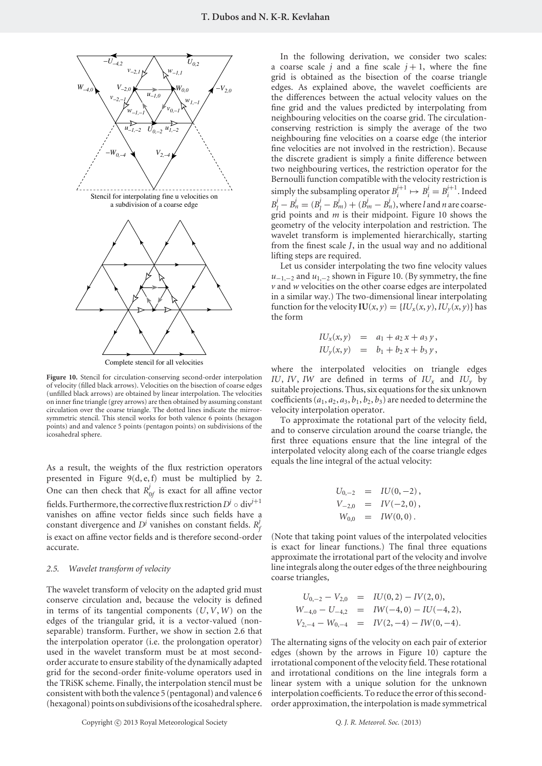

**Figure 10.** Stencil for circulation-conserving second-order interpolation of velocity (filled black arrows). Velocities on the bisection of coarse edges (unfilled black arrows) are obtained by linear interpolation. The velocities on inner fine triangle (grey arrows) are then obtained by assuming constant circulation over the coarse triangle. The dotted lines indicate the mirrorsymmetric stencil. This stencil works for both valence 6 points (hexagon points) and and valence 5 points (pentagon points) on subdivisions of the icosahedral sphere.

As a result, the weights of the flux restriction operators presented in Figure 9(d, e, f) must be multiplied by 2. One can then check that  $R_{0f}^j$  is exact for all affine vector fields. Furthermore, the corrective flux restriction  $D^j \circ div^{j+1}$ vanishes on affine vector fields since such fields have a constant divergence and  $D^j$  vanishes on constant fields.  $R^j_f$ is exact on affine vector fields and is therefore second-order accurate.

#### *2.5. Wavelet transform of velocity*

The wavelet transform of velocity on the adapted grid must conserve circulation and, because the velocity is defined in terms of its tangential components  $(U, V, W)$  on the edges of the triangular grid, it is a vector-valued (nonseparable) transform. Further, we show in section 2.6 that the interpolation operator (i.e. the prolongation operator) used in the wavelet transform must be at most secondorder accurate to ensure stability of the dynamically adapted grid for the second-order finite-volume operators used in the TRiSK scheme. Finally, the interpolation stencil must be consistent with both the valence 5 (pentagonal) and valence 6 (hexagonal) points on subdivisions of the icosahedral sphere.

In the following derivation, we consider two scales: a coarse scale  $j$  and a fine scale  $j + 1$ , where the fine grid is obtained as the bisection of the coarse triangle edges. As explained above, the wavelet coefficients are the differences between the actual velocity values on the fine grid and the values predicted by interpolating from neighbouring velocities on the coarse grid. The circulationconserving restriction is simply the average of the two neighbouring fine velocities on a coarse edge (the interior fine velocities are not involved in the restriction). Because the discrete gradient is simply a finite difference between two neighbouring vertices, the restriction operator for the Bernoulli function compatible with the velocity restriction is simply the subsampling operator  $B_i^{j+1} \mapsto B_i^j = B_i^{j+1}$ . Indeed  $B_l^j - B_n^j = (B_l^j - B_m^j) + (B_m^j - B_n^j)$ , where *l* and *n* are coarsegrid points and *m* is their midpoint. Figure 10 shows the geometry of the velocity interpolation and restriction. The wavelet transform is implemented hierarchically, starting from the finest scale *J*, in the usual way and no additional lifting steps are required.

Let us consider interpolating the two fine velocity values  $u_{-1,-2}$  and  $u_{1,-2}$  shown in Figure 10. (By symmetry, the fine *v* and *w* velocities on the other coarse edges are interpolated in a similar way.) The two-dimensional linear interpolating function for the velocity  $\mathbf{IU}(x, y) = \{IU_x(x, y), IU_y(x, y)\}\)$ the form

$$
IU_x(x, y) = a_1 + a_2 x + a_3 y,IU_y(x, y) = b_1 + b_2 x + b_3 y,
$$

where the interpolated velocities on triangle edges *IU*, *IV*, *IW* are defined in terms of *IUx* and *IUy* by suitable projections. Thus, six equations for the six unknown coefficients  $(a_1, a_2, a_3, b_1, b_2, b_3)$  are needed to determine the velocity interpolation operator.

To approximate the rotational part of the velocity field, and to conserve circulation around the coarse triangle, the first three equations ensure that the line integral of the interpolated velocity along each of the coarse triangle edges equals the line integral of the actual velocity:

$$
U_{0,-2} = IV(0,-2),
$$
  
\n
$$
V_{-2,0} = IV(-2,0),
$$
  
\n
$$
W_{0,0} = IV(0,0).
$$

(Note that taking point values of the interpolated velocities is exact for linear functions.) The final three equations approximate the irrotational part of the velocity and involve line integrals along the outer edges of the three neighbouring coarse triangles,

$$
U_{0,-2} - V_{2,0} = IV(0,2) - IV(2,0),
$$
  
\n
$$
W_{-4,0} - U_{-4,2} = IV(-4,0) - IU(-4,2),
$$
  
\n
$$
V_{2,-4} - W_{0,-4} = IV(2,-4) - IV(0,-4).
$$

The alternating signs of the velocity on each pair of exterior edges (shown by the arrows in Figure 10) capture the irrotational component of the velocity field. These rotational and irrotational conditions on the line integrals form a linear system with a unique solution for the unknown interpolation coefficients. To reduce the error of this secondorder approximation, the interpolation is made symmetrical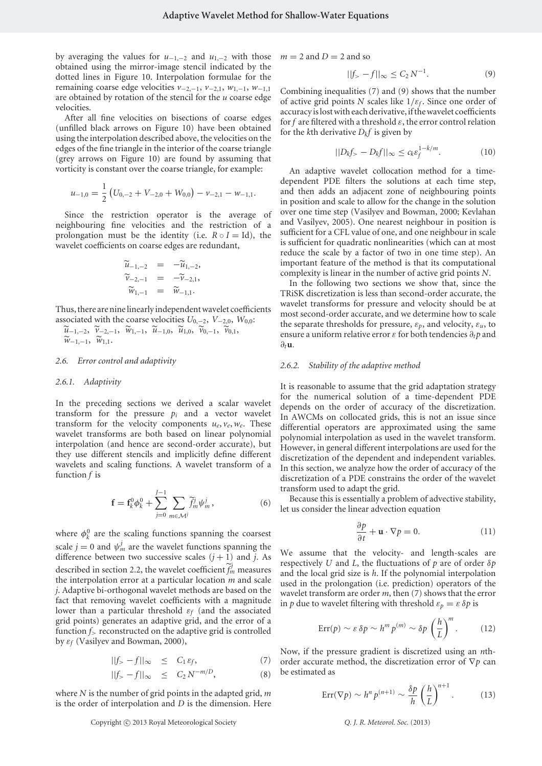by averaging the values for *u*−1,−<sup>2</sup> and *u*1,−<sup>2</sup> with those obtained using the mirror-image stencil indicated by the dotted lines in Figure 10. Interpolation formulae for the remaining coarse edge velocities *v*−2,<sup>−</sup>1, *v*−2,1, *w*1,<sup>−</sup>1, *w*−1,1 are obtained by rotation of the stencil for the *u* coarse edge velocities.

After all fine velocities on bisections of coarse edges (unfilled black arrows on Figure 10) have been obtained using the interpolation described above, the velocities on the edges of the fine triangle in the interior of the coarse triangle (grey arrows on Figure 10) are found by assuming that vorticity is constant over the coarse triangle, for example:

$$
u_{-1,0} = \frac{1}{2} \left( U_{0,-2} + V_{-2,0} + W_{0,0} \right) - \nu_{-2,1} - \nu_{-1,1}.
$$

Since the restriction operator is the average of neighbouring fine velocities and the restriction of a prolongation must be the identity (i.e.  $R \circ I = Id$ ), the wavelet coefficients on coarse edges are redundant,

$$
\begin{array}{rcl}\n\widetilde{u}_{-1,-2} & = & -\widetilde{u}_{1,-2}, \\
\widetilde{v}_{-2,-1} & = & -\widetilde{v}_{-2,1}, \\
\widetilde{w}_{1,-1} & = & \widetilde{w}_{-1,1}.\n\end{array}
$$

Thus, there are nine linearly independent wavelet coefficients associated with the coarse velocities *U*0,<sup>−</sup>2, *V*−2,0, *W*0,0:

 $\widetilde{\mathcal{U}}_{-1,-2}, \ \ \widetilde{\mathcal{V}}_{-2,-1}, \ \ \widetilde{\mathcal{W}}_{1,-1}, \ \ \widetilde{\mathcal{U}}_{-1,0}, \ \ \widetilde{\mathcal{U}}_{1,0}, \ \ \widetilde{\mathcal{V}}_{0,-1}, \ \ \widetilde{\mathcal{V}}_{0,1}, \ \widetilde{\sim}$  $\widetilde{w}_{-1,-1}$ ,  $\widetilde{w}_{1,1}$ .

#### *2.6. Error control and adaptivity*

### *2.6.1. Adaptivity*

In the preceding sections we derived a scalar wavelet transform for the pressure  $p_i$  and a vector wavelet transform for the velocity components  $u_e$ ,  $v_e$ ,  $w_e$ . These wavelet transforms are both based on linear polynomial interpolation (and hence are second-order accurate), but they use different stencils and implicitly define different wavelets and scaling functions. A wavelet transform of a function *f* is

$$
\mathbf{f} = \mathbf{f}_k^0 \phi_k^0 + \sum_{j=0}^{J-1} \sum_{m \in \mathcal{M}^j} \widetilde{f}_m^j \psi_m^j, \qquad (6)
$$

where  $\phi_k^0$  are the scaling functions spanning the coarsest scale  $j = 0$  and  $\psi_m^j$  are the wavelet functions spanning the difference between two successive scales  $(j + 1)$  and *j*. As described in section 2.2, the wavelet coefficient  $\widetilde{f}_m^j$  measures the interpolation error at a particular location *m* and scale *j*. Adaptive bi-orthogonal wavelet methods are based on the fact that removing wavelet coefficients with a magnitude lower than a particular threshold *ε<sup>f</sup>* (and the associated grid points) generates an adaptive grid, and the error of a function *f<sup>&</sup>gt;* reconstructed on the adaptive grid is controlled by *ε<sup>f</sup>* (Vasilyev and Bowman, 2000),

$$
||f_{>} - f||_{\infty} \leq C_1 \varepsilon_f, \tag{7}
$$

$$
||f_{>} - f||_{\infty} \le C_2 N^{-m/D}, \tag{8}
$$

where *N* is the number of grid points in the adapted grid, *m* is the order of interpolation and *D* is the dimension. Here  $m = 2$  and  $D = 2$  and so

$$
||f_{>} - f||_{\infty} \le C_2 N^{-1}.
$$
 (9)

Combining inequalities (7) and (9) shows that the number of active grid points *N* scales like 1*/ε<sup>f</sup>* . Since one order of accuracy is lost with each derivative, if the wavelet coefficients for*f* are filtered with a threshold *ε*, the error control relation for the *k*th derivative  $D_k f$  is given by

$$
||D_k f_{>} - D_k f||_{\infty} \le c_k \varepsilon_f^{1-k/m}.
$$
 (10)

An adaptive wavelet collocation method for a timedependent PDE filters the solutions at each time step, and then adds an adjacent zone of neighbouring points in position and scale to allow for the change in the solution over one time step (Vasilyev and Bowman, 2000; Kevlahan and Vasilyev, 2005). One nearest neighbour in position is sufficient for a CFL value of one, and one neighbour in scale is sufficient for quadratic nonlinearities (which can at most reduce the scale by a factor of two in one time step). An important feature of the method is that its computational complexity is linear in the number of active grid points *N*.

In the following two sections we show that, since the TRiSK discretization is less than second-order accurate, the wavelet transforms for pressure and velocity should be at most second-order accurate, and we determine how to scale the separate thresholds for pressure,  $\varepsilon_p$ , and velocity,  $\varepsilon_u$ , to ensure a uniform relative error *ε* for both tendencies *∂tp* and *∂t***u***.*

### *2.6.2. Stability of the adaptive method*

It is reasonable to assume that the grid adaptation strategy for the numerical solution of a time-dependent PDE depends on the order of accuracy of the discretization. In AWCMs on collocated grids, this is not an issue since differential operators are approximated using the same polynomial interpolation as used in the wavelet transform. However, in general different interpolations are used for the discretization of the dependent and independent variables. In this section, we analyze how the order of accuracy of the discretization of a PDE constrains the order of the wavelet transform used to adapt the grid.

Because this is essentially a problem of advective stability, let us consider the linear advection equation

$$
\frac{\partial p}{\partial t} + \mathbf{u} \cdot \nabla p = 0.
$$
 (11)

We assume that the velocity- and length-scales are respectively *U* and *L*, the fluctuations of *p* are of order *δp* and the local grid size is *h*. If the polynomial interpolation used in the prolongation (i.e. prediction) operators of the wavelet transform are order *m*, then (7) shows that the error in *p* due to wavelet filtering with threshold  $\varepsilon_p = \varepsilon \delta p$  is

$$
Err(p) \sim \varepsilon \, \delta p \sim h^m \, p^{(m)} \sim \delta p \, \left(\frac{h}{L}\right)^m. \tag{12}
$$

Now, if the pressure gradient is discretized using an *n*thorder accurate method, the discretization error of ∇*p* can be estimated as

$$
Err(\nabla p) \sim h^n p^{(n+1)} \sim \frac{\delta p}{h} \left(\frac{h}{L}\right)^{n+1}.
$$
 (13)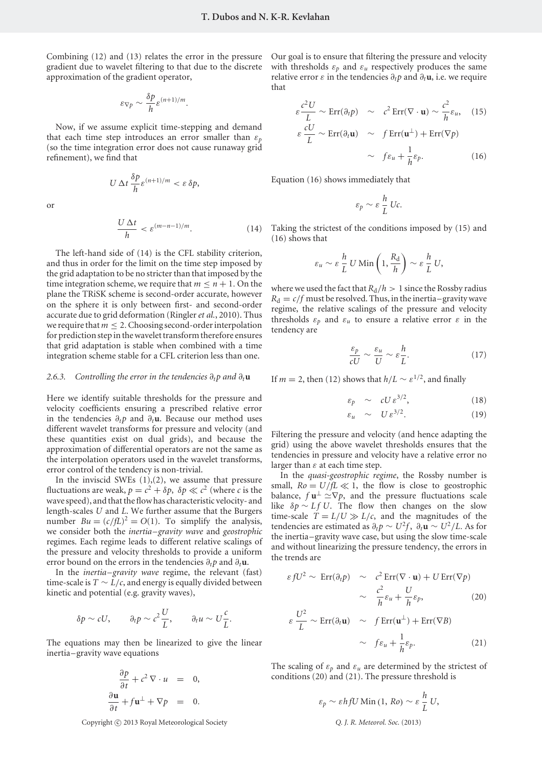Combining (12) and (13) relates the error in the pressure gradient due to wavelet filtering to that due to the discrete approximation of the gradient operator,

$$
\varepsilon_{\nabla p} \sim \frac{\delta p}{h} \varepsilon^{(n+1)/m}.
$$

Now, if we assume explicit time-stepping and demand that each time step introduces an error smaller than *ε<sup>p</sup>* (so the time integration error does not cause runaway grid refinement), we find that

$$
U\,\Delta t\,\frac{\delta p}{h}\varepsilon^{(n+1)/m}\,<\,\varepsilon\,\delta p,
$$

or

$$
\frac{U \Delta t}{h} < \varepsilon^{(m-n-1)/m}.\tag{14}
$$

The left-hand side of (14) is the CFL stability criterion, and thus in order for the limit on the time step imposed by the grid adaptation to be no stricter than that imposed by the time integration scheme, we require that  $m \leq n + 1$ . On the plane the TRiSK scheme is second-order accurate, however on the sphere it is only between first- and second-order accurate due to grid deformation (Ringler*et al.*, 2010). Thus we require that  $m \leq 2$ . Choosing second-order interpolation for prediction step in the wavelet transform therefore ensures that grid adaptation is stable when combined with a time integration scheme stable for a CFL criterion less than one.

#### 2.6.3. Controlling the error in the tendencies  $\partial_t p$  and  $\partial_t \mathbf{u}$

Here we identify suitable thresholds for the pressure and velocity coefficients ensuring a prescribed relative error in the tendencies *∂tp* and *∂t***u**. Because our method uses different wavelet transforms for pressure and velocity (and these quantities exist on dual grids), and because the approximation of differential operators are not the same as the interpolation operators used in the wavelet transforms, error control of the tendency is non-trivial.

In the inviscid SWEs  $(1)$ , $(2)$ , we assume that pressure fluctuations are weak,  $p = c^2 + \delta p$ ,  $\delta p \ll c^2$  (where *c* is the wave speed), and that the flow has characteristic velocity- and length-scales *U* and *L*. We further assume that the Burgers number  $Bu = (c/fL)^2 = O(1)$ . To simplify the analysis, we consider both the *inertia–gravity wave* and *geostrophic* regimes. Each regime leads to different relative scalings of the pressure and velocity thresholds to provide a uniform error bound on the errors in the tendencies  $\partial_t p$  and  $\partial_t \mathbf{u}$ .

In the *inertia–gravity wave* regime, the relevant (fast) time-scale is  $T \sim L/c$ , and energy is equally divided between kinetic and potential (e.g. gravity waves),

$$
\delta p \sim cU
$$
,  $\partial_t p \sim c^2 \frac{U}{L}$ ,  $\partial_t u \sim U \frac{c}{L}$ .

The equations may then be linearized to give the linear inertia–gravity wave equations

$$
\frac{\partial p}{\partial t} + c^2 \nabla \cdot u = 0,
$$
  

$$
\frac{\partial \mathbf{u}}{\partial t} + f \mathbf{u}^\perp + \nabla p = 0.
$$

Copyright  $\circled{c}$  2013 Royal Meteorological Society

Our goal is to ensure that filtering the pressure and velocity with thresholds  $\varepsilon_p$  and  $\varepsilon_u$  respectively produces the same relative error *ε* in the tendencies  $\partial_t p$  and  $\partial_t \mathbf{u}$ , i.e. we require that

$$
\varepsilon \frac{c^2 U}{L} \sim \text{Err}(\partial_t p) \sim c^2 \text{Err}(\nabla \cdot \mathbf{u}) \sim \frac{c^2}{h} \varepsilon_u, \quad (15)
$$

$$
\varepsilon \frac{cU}{L} \sim \text{Err}(\partial_t \mathbf{u}) \sim f \text{Err}(\mathbf{u}^{\perp}) + \text{Err}(\nabla p)
$$

$$
\sim f \varepsilon_u + \frac{1}{h} \varepsilon_p. \quad (16)
$$

Equation (16) shows immediately that

$$
\varepsilon_p \sim \varepsilon \, \frac{h}{L} \, Uc.
$$

Taking the strictest of the conditions imposed by (15) and (16) shows that

$$
\varepsilon_u \sim \varepsilon \frac{h}{L} U \operatorname{Min}\left(1, \frac{R_{\rm d}}{h}\right) \sim \varepsilon \frac{h}{L} U,
$$

where we used the fact that  $R_d/h > 1$  since the Rossby radius  $R_d = c/f$  must be resolved. Thus, in the inertia–gravity wave regime, the relative scalings of the pressure and velocity thresholds  $\varepsilon_p$  and  $\varepsilon_u$  to ensure a relative error  $\varepsilon$  in the tendency are

$$
\frac{\varepsilon_p}{cU} \sim \frac{\varepsilon_u}{U} \sim \varepsilon \frac{h}{L}.\tag{17}
$$

If *m* = 2, then (12) shows that  $h/L \sim \varepsilon^{1/2}$ , and finally

$$
\varepsilon_p \sim c U \varepsilon^{3/2}, \qquad (18)
$$

$$
\varepsilon_u \sim U \varepsilon^{3/2}.
$$
 (19)

Filtering the pressure and velocity (and hence adapting the grid) using the above wavelet thresholds ensures that the tendencies in pressure and velocity have a relative error no larger than *ε* at each time step.

In the *quasi-geostrophic regime*, the Rossby number is small,  $Ro = U/fL \ll 1$ , the flow is close to geostrophic balance,  $f \mathbf{u}^{\perp} \simeq \nabla p$ , and the pressure fluctuations scale like  $\delta p \sim Lf U$ . The flow then changes on the slow time-scale  $\dot{T} = L/U \gg L/c$ , and the magnitudes of the tendencies are estimated as  $\partial_t p \sim U^2 f$ ,  $\partial_t \mathbf{u} \sim U^2 / L$ . As for the inertia–gravity wave case, but using the slow time-scale and without linearizing the pressure tendency, the errors in the trends are

$$
\varepsilon fU^2 \sim \text{Err}(\partial_t p) \sim c^2 \text{Err}(\nabla \cdot \mathbf{u}) + U \text{Err}(\nabla p)
$$

$$
\sim \frac{c^2}{h} \varepsilon_u + \frac{U}{h} \varepsilon_p, \tag{20}
$$

$$
\varepsilon \frac{U^2}{L} \sim \text{Err}(\partial_t \mathbf{u}) \sim f \text{Err}(\mathbf{u}^{\perp}) + \text{Err}(\nabla B)
$$

$$
\sim f \varepsilon_u + \frac{1}{h} \varepsilon_p. \tag{21}
$$

The scaling of  $\varepsilon_p$  and  $\varepsilon_u$  are determined by the strictest of conditions (20) and (21). The pressure threshold is

$$
\varepsilon_p \sim \varepsilon h f U \text{ Min } (1, Ro) \sim \varepsilon \frac{h}{L} U,
$$
  
O. I. R. Meteorol. Soc. (2013)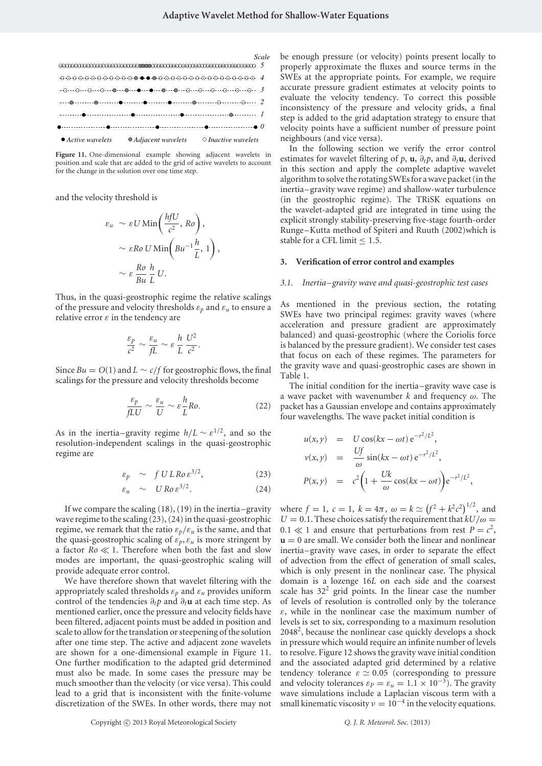

**Figure 11.** One-dimensional example showing adjacent wavelets in position and scale that are added to the grid of active wavelets to account for the change in the solution over one time step.

and the velocity threshold is

$$
\varepsilon_u \sim \varepsilon U \min\left(\frac{hfU}{c^2}, Ro\right),
$$
  
 
$$
\sim \varepsilon Ro U \min\left(Bu^{-1}\frac{h}{L}, 1\right),
$$
  
 
$$
\sim \varepsilon \frac{Ro}{Bu} \frac{h}{L} U.
$$

Thus, in the quasi-geostrophic regime the relative scalings of the pressure and velocity thresholds  $\varepsilon_p$  and  $\varepsilon_u$  to ensure a relative error *ε* in the tendency are

$$
\frac{\varepsilon_p}{c^2} \sim \frac{\varepsilon_u}{fL} \sim \varepsilon \frac{h}{L} \frac{U^2}{c^2}.
$$

Since  $Bu = O(1)$  and  $L \sim c/f$  for geostrophic flows, the final scalings for the pressure and velocity thresholds become

$$
\frac{\varepsilon_p}{fLU} \sim \frac{\varepsilon_u}{U} \sim \varepsilon \frac{h}{L} Ro.
$$
\n(22)

As in the inertia–gravity regime  $h/L \sim \varepsilon^{1/2}$ , and so the resolution-independent scalings in the quasi-geostrophic regime are

$$
\varepsilon_p \sim fULRo \varepsilon^{3/2}, \tag{23}
$$

$$
\varepsilon_u \sim U \, R \sigma \, \varepsilon^{3/2}.
$$

If we compare the scaling (18), (19) in the inertia–gravity wave regime to the scaling (23), (24) in the quasi-geostrophic regime, we remark that the ratio  $\varepsilon_p/\varepsilon_u$  is the same, and that the quasi-geostrophic scaling of  $\varepsilon_p$ ,  $\varepsilon_u$  is more stringent by a factor  $Ro \ll 1$ . Therefore when both the fast and slow modes are important, the quasi-geostrophic scaling will provide adequate error control.

We have therefore shown that wavelet filtering with the appropriately scaled thresholds *ε<sup>p</sup>* and *ε<sup>u</sup>* provides uniform control of the tendencies *∂tp* and *∂t***u** at each time step. As mentioned earlier, once the pressure and velocity fields have been filtered, adjacent points must be added in position and scale to allow for the translation or steepening of the solution after one time step. The active and adjacent zone wavelets are shown for a one-dimensional example in Figure 11. One further modification to the adapted grid determined must also be made. In some cases the pressure may be much smoother than the velocity (or vice versa). This could lead to a grid that is inconsistent with the finite-volume discretization of the SWEs. In other words, there may not be enough pressure (or velocity) points present locally to properly approximate the fluxes and source terms in the SWEs at the appropriate points. For example, we require accurate pressure gradient estimates at velocity points to evaluate the velocity tendency. To correct this possible inconsistency of the pressure and velocity grids, a final step is added to the grid adaptation strategy to ensure that velocity points have a sufficient number of pressure point neighbours (and vice versa).

In the following section we verify the error control estimates for wavelet filtering of  $p$ ,  $\mathbf{u}$ ,  $\partial_t p$ , and  $\partial_t \mathbf{u}$ , derived in this section and apply the complete adaptive wavelet algorithm to solve the rotating SWEs for a wave packet (in the inertia–gravity wave regime) and shallow-water turbulence (in the geostrophic regime). The TRiSK equations on the wavelet-adapted grid are integrated in time using the explicit strongly stability-preserving five-stage fourth-order Runge–Kutta method of Spiteri and Ruuth (2002)which is stable for a CFL limit  $\leq 1.5$ .

#### **3. Verification of error control and examples**

#### *3.1. Inertia–gravity wave and quasi-geostrophic test cases*

As mentioned in the previous section, the rotating SWEs have two principal regimes: gravity waves (where acceleration and pressure gradient are approximately balanced) and quasi-geostrophic (where the Coriolis force is balanced by the pressure gradient). We consider test cases that focus on each of these regimes. The parameters for the gravity wave and quasi-geostrophic cases are shown in Table 1.

The initial condition for the inertia–gravity wave case is a wave packet with wavenumber *k* and frequency *ω*. The packet has a Gaussian envelope and contains approximately four wavelengths. The wave packet initial condition is

$$
u(x, y) = U \cos(kx - \omega t) e^{-r^2/L^2},
$$
  
\n
$$
v(x, y) = \frac{Uf}{\omega} \sin(kx - \omega t) e^{-r^2/L^2},
$$
  
\n
$$
P(x, y) = c^2 \left(1 + \frac{Uk}{\omega} \cos(kx - \omega t)\right) e^{-r^2/L^2},
$$

where  $f = 1$ ,  $c = 1$ ,  $k = 4\pi$ ,  $\omega = k \simeq (f^2 + k^2 c^2)^{1/2}$ , and  $U = 0.1$ . These choices satisfy the requirement that  $kU/\omega =$  $0.1 \ll 1$  and ensure that perturbations from rest  $P = c^2$ ,  $\mathbf{u} = 0$  are small. We consider both the linear and nonlinear inertia–gravity wave cases, in order to separate the effect of advection from the effect of generation of small scales, which is only present in the nonlinear case. The physical domain is a lozenge 16*L* on each side and the coarsest scale has  $32<sup>2</sup>$  grid points. In the linear case the number of levels of resolution is controlled only by the tolerance *ε*, while in the nonlinear case the maximum number of levels is set to six, corresponding to a maximum resolution  $2048<sup>2</sup>$ , because the nonlinear case quickly develops a shock in pressure which would require an infinite number of levels to resolve. Figure 12 shows the gravity wave initial condition and the associated adapted grid determined by a relative tendency tolerance  $\varepsilon \simeq 0.05$  (corresponding to pressure and velocity tolerances  $\varepsilon_P = \varepsilon_u = 1.1 \times 10^{-3}$ . The gravity wave simulations include a Laplacian viscous term with a small kinematic viscosity  $v = 10^{-4}$  in the velocity equations.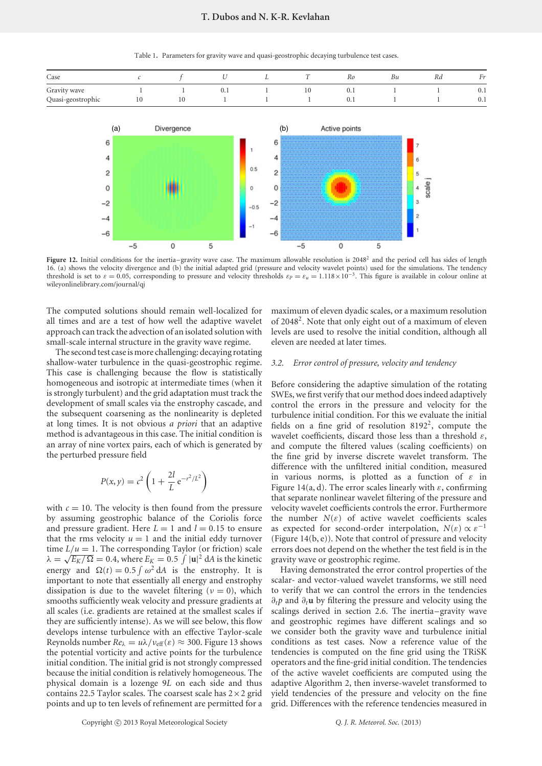Table 1. Parameters for gravity wave and quasi-geostrophic decaying turbulence test cases.

| Case              |     |     |                | K0          | Bи | Rd | Er<br>. .   |
|-------------------|-----|-----|----------------|-------------|----|----|-------------|
| Gravity wave      |     | ν., | $\overline{1}$ | $v \cdot r$ |    |    | $v \cdot r$ |
| Quasi-geostrophic | ⊥ ∪ |     |                | U.1         |    |    | U.1         |



Figure 12. Initial conditions for the inertia–gravity wave case. The maximum allowable resolution is 2048<sup>2</sup> and the period cell has sides of length 16. (a) shows the velocity divergence and (b) the initial adapted grid (pressure and velocity wavelet points) used for the simulations. The tendency threshold is set to  $\varepsilon = 0.05$ , corresponding to pressure and velocity thresholds  $\varepsilon_P = \varepsilon_u = 1.118 \times 10^{-3}$ . This figure is available in colour online at wileyonlinelibrary.com/journal/qj

The computed solutions should remain well-localized for all times and are a test of how well the adaptive wavelet approach can track the advection of an isolated solution with small-scale internal structure in the gravity wave regime.

The second test case is more challenging: decaying rotating shallow-water turbulence in the quasi-geostrophic regime. This case is challenging because the flow is statistically homogeneous and isotropic at intermediate times (when it is strongly turbulent) and the grid adaptation must track the development of small scales via the enstrophy cascade, and the subsequent coarsening as the nonlinearity is depleted at long times. It is not obvious *a priori* that an adaptive method is advantageous in this case. The initial condition is an array of nine vortex pairs, each of which is generated by the perturbed pressure field

$$
P(x, y) = c^2 \left( 1 + \frac{2l}{L} e^{-r^2/L^2} \right)
$$

with  $c = 10$ . The velocity is then found from the pressure by assuming geostrophic balance of the Coriolis force and pressure gradient. Here  $L = 1$  and  $l = 0.15$  to ensure that the rms velocity  $u = 1$  and the initial eddy turnover time  $L/u = 1$ . The corresponding Taylor (or friction) scale  $\lambda = \sqrt{E_K/\Omega} = 0.4$ , where  $E_K = 0.5 \int |\mathbf{u}|^2 dA$  is the kinetic energy and  $\Omega(t) = 0.5 \int \omega^2 dA$  is the enstrophy. It is important to note that essentially all energy and enstrophy dissipation is due to the wavelet filtering ( $\nu = 0$ ), which smooths sufficiently weak velocity and pressure gradients at all scales (i.e. gradients are retained at the smallest scales if they are sufficiently intense). As we will see below, this flow develops intense turbulence with an effective Taylor-scale Reynolds number  $Re_{\lambda} = u\lambda/v_{\text{eff}}(\varepsilon) \approx 300$ . Figure 13 shows the potential vorticity and active points for the turbulence initial condition. The initial grid is not strongly compressed because the initial condition is relatively homogeneous. The physical domain is a lozenge 9*L* on each side and thus contains 22.5 Taylor scales. The coarsest scale has  $2 \times 2$  grid points and up to ten levels of refinement are permitted for a maximum of eleven dyadic scales, or a maximum resolution of 20482*.* Note that only eight out of a maximum of eleven levels are used to resolve the initial condition, although all eleven are needed at later times.

# *3.2. Error control of pressure, velocity and tendency*

Before considering the adaptive simulation of the rotating SWEs, we first verify that our method does indeed adaptively control the errors in the pressure and velocity for the turbulence initial condition. For this we evaluate the initial fields on a fine grid of resolution  $8192^2$ , compute the wavelet coefficients, discard those less than a threshold *ε*, and compute the filtered values (scaling coefficients) on the fine grid by inverse discrete wavelet transform. The difference with the unfiltered initial condition, measured in various norms, is plotted as a function of *ε* in Figure 14(a, d). The error scales linearly with *ε*, confirming that separate nonlinear wavelet filtering of the pressure and velocity wavelet coefficients controls the error. Furthermore the number  $N(\varepsilon)$  of active wavelet coefficients scales as expected for second-order interpolation,  $N(\varepsilon) \propto \varepsilon^{-1}$ (Figure 14(b, e)). Note that control of pressure and velocity errors does not depend on the whether the test field is in the gravity wave or geostrophic regime.

Having demonstrated the error control properties of the scalar- and vector-valued wavelet transforms, we still need to verify that we can control the errors in the tendencies *∂tp* and *∂t***u** by filtering the pressure and velocity using the scalings derived in section 2.6. The inertia–gravity wave and geostrophic regimes have different scalings and so we consider both the gravity wave and turbulence initial conditions as test cases. Now a reference value of the tendencies is computed on the fine grid using the TRiSK operators and the fine-grid initial condition. The tendencies of the active wavelet coefficients are computed using the adaptive Algorithm 2, then inverse-wavelet transformed to yield tendencies of the pressure and velocity on the fine grid. Differences with the reference tendencies measured in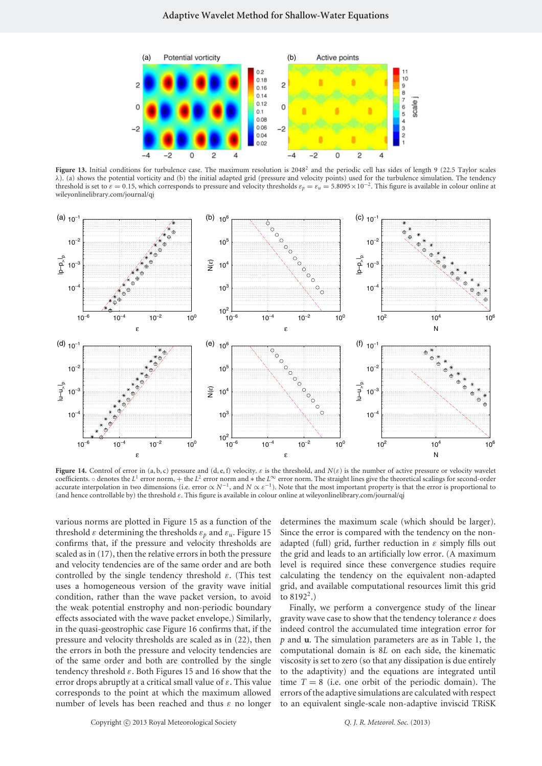

Figure 13. Initial conditions for turbulence case. The maximum resolution is 2048<sup>2</sup> and the periodic cell has sides of length 9 (22.5 Taylor scales *λ*). (a) shows the potential vorticity and (b) the initial adapted grid (pressure and velocity points) used for the turbulence simulation. The tendency threshold is set to  $\varepsilon = 0.15$ , which corresponds to pressure and velocity thresholds  $\varepsilon_p = \varepsilon_u = 5.8095 \times 10^{-2}$ . This figure is available in colour online at wileyonlinelibrary.com/journal/qj



**Figure 14.** Control of error in (a, b, c) pressure and (d, e, f) velocity. *ε* is the threshold, and *N*(*ε*) is the number of active pressure or velocity wavelet coefficients.  $\circ$  denotes the *L*<sup>1</sup> error norm, + the *L*<sup>2</sup> error norm and  $*$  the *L*<sup>∞</sup> error norm. The straight lines give the theoretical scalings for second-order accurate interpolation in two dimensions (i.e. error  $\propto N^{-1}$ , and  $N \propto \varepsilon^{-1}$ ). Note that the most important property is that the error is proportional to (and hence controllable by) the threshold *ε*. This figure is available in colour online at wileyonlinelibrary.com/journal/qj

various norms are plotted in Figure 15 as a function of the threshold  $\varepsilon$  determining the thresholds  $\varepsilon_p$  and  $\varepsilon_u$ . Figure 15 confirms that, if the pressure and velocity thresholds are scaled as in (17), then the relative errors in both the pressure and velocity tendencies are of the same order and are both controlled by the single tendency threshold *ε*. (This test uses a homogeneous version of the gravity wave initial condition, rather than the wave packet version, to avoid the weak potential enstrophy and non-periodic boundary effects associated with the wave packet envelope.) Similarly, in the quasi-geostrophic case Figure 16 confirms that, if the pressure and velocity thresholds are scaled as in (22), then the errors in both the pressure and velocity tendencies are of the same order and both are controlled by the single tendency threshold *ε*. Both Figures 15 and 16 show that the error drops abruptly at a critical small value of *ε*. This value corresponds to the point at which the maximum allowed number of levels has been reached and thus *ε* no longer

determines the maximum scale (which should be larger). Since the error is compared with the tendency on the nonadapted (full) grid, further reduction in *ε* simply fills out the grid and leads to an artificially low error. (A maximum level is required since these convergence studies require calculating the tendency on the equivalent non-adapted grid, and available computational resources limit this grid to  $8192^2$ .)

Finally, we perform a convergence study of the linear gravity wave case to show that the tendency tolerance *ε* does indeed control the accumulated time integration error for *p* and **u**. The simulation parameters are as in Table 1, the computational domain is 8*L* on each side, the kinematic viscosity is set to zero (so that any dissipation is due entirely to the adaptivity) and the equations are integrated until time  $T = 8$  (i.e. one orbit of the periodic domain). The errors of the adaptive simulations are calculated with respect to an equivalent single-scale non-adaptive inviscid TRiSK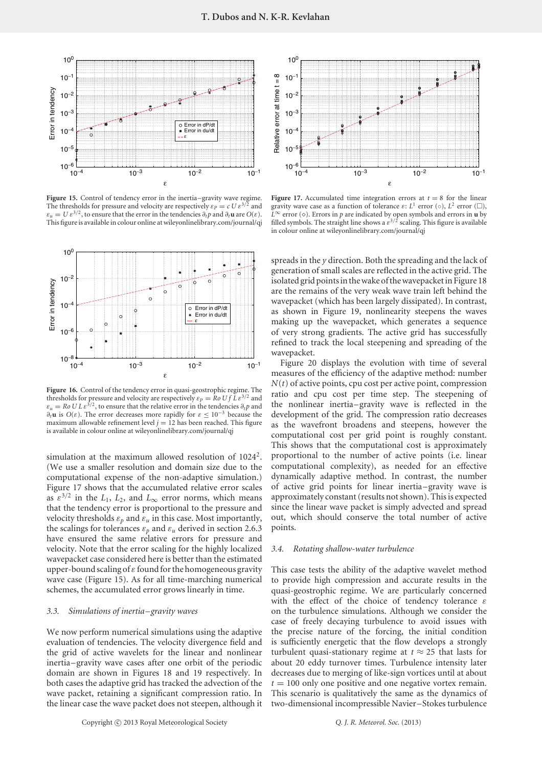

**Figure 15.** Control of tendency error in the inertia–gravity wave regime. The thresholds for pressure and velocity are respectively  $\varepsilon_P = c U \varepsilon^{3/2}$  and  $\varepsilon$ <sup>*u*</sup> = *U*  $\varepsilon^{3/2}$ , to ensure that the error in the tendencies  $\partial_t p$  and  $\partial_t \mathbf{u}$  are *O*( $\varepsilon$ ). This figure is available in colour online at wileyonlinelibrary.com/journal/qj



**Figure 16.** Control of the tendency error in quasi-geostrophic regime. The thresholds for pressure and velocity are respectively  $\varepsilon_P = Ro U f L \varepsilon^{3/2}$  and  $\varepsilon$ <sup>*u*</sup> = *Ro U L*  $\varepsilon^{3/2}$ , to ensure that the relative error in the tendencies  $\partial_t p$  and *∂*<sup>*t*</sup>**u** is *O*(*ε*). The error decreases more rapidly for *ε* ≤ 10<sup>−3</sup> because the maximum allowable refinement level  $j = 12$  has been reached. This figure is available in colour online at wileyonlinelibrary.com/journal/qj

simulation at the maximum allowed resolution of  $1024^2$ . (We use a smaller resolution and domain size due to the computational expense of the non-adaptive simulation.) Figure 17 shows that the accumulated relative error scales as  $\varepsilon^{3/2}$  in the *L*<sub>1</sub>, *L*<sub>2</sub>, and *L*<sub>∞</sub> error norms, which means that the tendency error is proportional to the pressure and velocity thresholds  $\varepsilon_p$  and  $\varepsilon_u$  in this case. Most importantly, the scalings for tolerances  $\varepsilon_p$  and  $\varepsilon_u$  derived in section 2.6.3 have ensured the same relative errors for pressure and velocity. Note that the error scaling for the highly localized wavepacket case considered here is better than the estimated upper-bound scaling of *ε* found for the homogeneous gravity wave case (Figure 15). As for all time-marching numerical schemes, the accumulated error grows linearly in time.

# *3.3. Simulations of inertia–gravity waves*

We now perform numerical simulations using the adaptive evaluation of tendencies. The velocity divergence field and the grid of active wavelets for the linear and nonlinear inertia–gravity wave cases after one orbit of the periodic domain are shown in Figures 18 and 19 respectively. In both cases the adaptive grid has tracked the advection of the wave packet, retaining a significant compression ratio. In the linear case the wave packet does not steepen, although it



**Figure 17.** Accumulated time integration errors at  $t = 8$  for the linear gravity wave case as a function of tolerance  $\varepsilon$ :  $L^1$  error ( $\circ$ ),  $L^2$  error ( $\Box$ ),  $\widetilde{L}^\infty$  error ( $\diamond$ ). Errors in  $p$  are indicated by open symbols and errors in  ${\bf u}$  by filled symbols. The straight line shows a *ε*3*/*<sup>2</sup> scaling. This figure is available in colour online at wileyonlinelibrary.com/journal/qj

spreads in the *y* direction. Both the spreading and the lack of generation of small scales are reflected in the active grid. The isolated grid points in the wake of the wavepacket in Figure 18 are the remains of the very weak wave train left behind the wavepacket (which has been largely dissipated). In contrast, as shown in Figure 19, nonlinearity steepens the waves making up the wavepacket, which generates a sequence of very strong gradients. The active grid has successfully refined to track the local steepening and spreading of the wavepacket.

Figure 20 displays the evolution with time of several measures of the efficiency of the adaptive method: number  $N(t)$  of active points, cpu cost per active point, compression ratio and cpu cost per time step. The steepening of the nonlinear inertia–gravity wave is reflected in the development of the grid. The compression ratio decreases as the wavefront broadens and steepens, however the computational cost per grid point is roughly constant. This shows that the computational cost is approximately proportional to the number of active points (i.e. linear computational complexity), as needed for an effective dynamically adaptive method. In contrast, the number of active grid points for linear inertia–gravity wave is approximately constant (results not shown). This is expected since the linear wave packet is simply advected and spread out, which should conserve the total number of active points.

#### *3.4. Rotating shallow-water turbulence*

This case tests the ability of the adaptive wavelet method to provide high compression and accurate results in the quasi-geostrophic regime. We are particularly concerned with the effect of the choice of tendency tolerance *ε* on the turbulence simulations. Although we consider the case of freely decaying turbulence to avoid issues with the precise nature of the forcing, the initial condition is sufficiently energetic that the flow develops a strongly turbulent quasi-stationary regime at  $t \approx 25$  that lasts for about 20 eddy turnover times. Turbulence intensity later decreases due to merging of like-sign vortices until at about  $t = 100$  only one positive and one negative vortex remain. This scenario is qualitatively the same as the dynamics of two-dimensional incompressible Navier–Stokes turbulence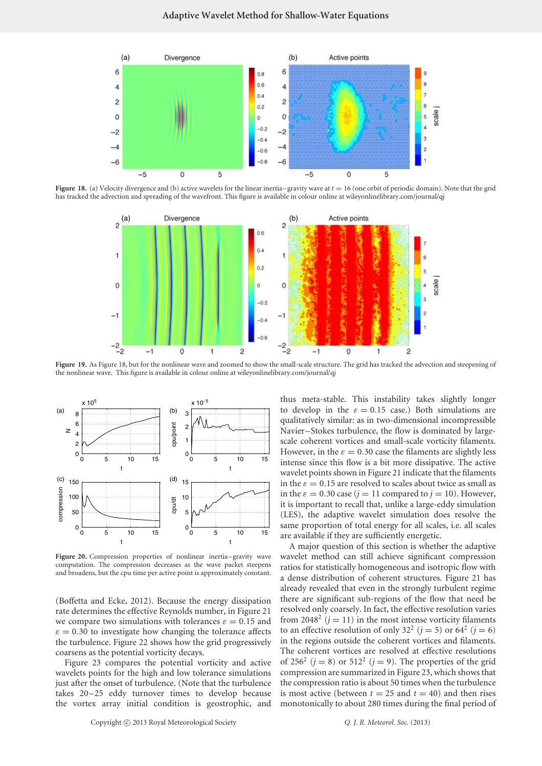

**Figure 18.** (a) Velocity divergence and (b) active wavelets for the linear inertia–gravity wave at *t* = 16 (one orbit of periodic domain). Note that the grid has tracked the advection and spreading of the wavefront. This figure is available in colour online at wileyonlinelibrary.com/journal/qj



Figure 19. As Figure 18, but for the nonlinear wave and zoomed to show the small-scale structure. The grid has tracked the advection and steepening of the nonlinear wave. This figure is available in colour online at wileyonlinelibrary.com/journal/qj



**Figure 20.** Compression properties of nonlinear inertia–gravity wave computation. The compression decreases as the wave packet steepens and broadens, but the cpu time per active point is approximately constant.

(Boffetta and Ecke, 2012). Because the energy dissipation rate determines the effective Reynolds number, in Figure 21 we compare two simulations with tolerances  $\varepsilon = 0.15$  and  $\varepsilon = 0.30$  to investigate how changing the tolerance affects the turbulence. Figure 22 shows how the grid progressively coarsens as the potential vorticity decays.

Figure 23 compares the potential vorticity and active wavelets points for the high and low tolerance simulations just after the onset of turbulence. (Note that the turbulence takes 20–25 eddy turnover times to develop because the vortex array initial condition is geostrophic, and thus meta-stable. This instability takes slightly longer to develop in the  $\varepsilon = 0.15$  case.) Both simulations are qualitatively similar: as in two-dimensional incompressible Navier–Stokes turbulence, the flow is dominated by largescale coherent vortices and small-scale vorticity filaments. However, in the  $\varepsilon = 0.30$  case the filaments are slightly less intense since this flow is a bit more dissipative. The active wavelet points shown in Figure 21 indicate that the filaments in the  $\varepsilon = 0.15$  are resolved to scales about twice as small as in the  $\varepsilon = 0.30$  case ( $j = 11$  compared to  $j = 10$ ). However, it is important to recall that, unlike a large-eddy simulation (LES), the adaptive wavelet simulation does resolve the same proportion of total energy for all scales, i.e. all scales are available if they are sufficiently energetic.

A major question of this section is whether the adaptive wavelet method can still achieve significant compression ratios for statistically homogeneous and isotropic flow with a dense distribution of coherent structures. Figure 21 has already revealed that even in the strongly turbulent regime there are significant sub-regions of the flow that need be resolved only coarsely. In fact, the effective resolution varies from 2048<sup>2</sup> ( $j = 11$ ) in the most intense vorticity filaments to an effective resolution of only 32<sup>2</sup> ( $j = 5$ ) or 64<sup>2</sup> ( $j = 6$ ) in the regions outside the coherent vortices and filaments. The coherent vortices are resolved at effective resolutions of 256<sup>2</sup> ( $j = 8$ ) or 512<sup>2</sup> ( $j = 9$ ). The properties of the grid compression are summarized in Figure 23, which shows that the compression ratio is about 50 times when the turbulence is most active (between  $t = 25$  and  $t = 40$ ) and then rises monotonically to about 280 times during the final period of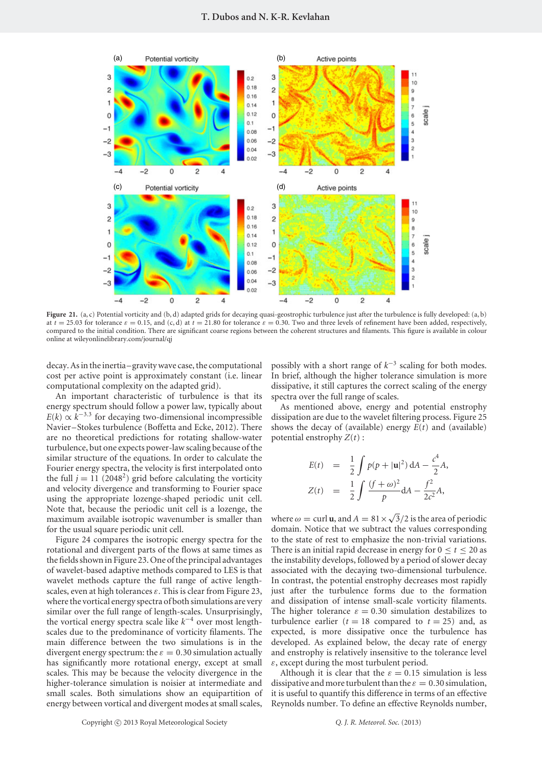

**Figure 21.** (a, c) Potential vorticity and (b, d) adapted grids for decaying quasi-geostrophic turbulence just after the turbulence is fully developed: (a, b) at  $t = 25.03$  for tolerance  $\varepsilon = 0.15$ , and (c, d) at  $t = 21.80$  for tolerance  $\varepsilon = 0.30$ . Two and three levels of refinement have been added, respectively, compared to the initial condition. There are significant coarse regions between the coherent structures and filaments. This figure is available in colour online at wileyonlinelibrary.com/journal/qj

decay. As in the inertia–gravity wave case, the computational cost per active point is approximately constant (i.e. linear computational complexity on the adapted grid).

An important characteristic of turbulence is that its energy spectrum should follow a power law, typically about  $E(k) \propto k^{-3.3}$  for decaying two-dimensional incompressible Navier–Stokes turbulence (Boffetta and Ecke, 2012). There are no theoretical predictions for rotating shallow-water turbulence, but one expects power-law scaling because of the similar structure of the equations. In order to calculate the Fourier energy spectra, the velocity is first interpolated onto the full  $j = 11$  (2048<sup>2</sup>) grid before calculating the vorticity and velocity divergence and transforming to Fourier space using the appropriate lozenge-shaped periodic unit cell. Note that, because the periodic unit cell is a lozenge, the maximum available isotropic wavenumber is smaller than for the usual square periodic unit cell.

Figure 24 compares the isotropic energy spectra for the rotational and divergent parts of the flows at same times as the fields shown in Figure 23. One of the principal advantages of wavelet-based adaptive methods compared to LES is that wavelet methods capture the full range of active lengthscales, even at high tolerances *ε.* This is clear from Figure 23, where the vortical energy spectra of both simulations are very similar over the full range of length-scales. Unsurprisingly, the vortical energy spectra scale like *k*−<sup>4</sup> over most lengthscales due to the predominance of vorticity filaments. The main difference between the two simulations is in the divergent energy spectrum: the  $\varepsilon = 0.30$  simulation actually has significantly more rotational energy, except at small scales. This may be because the velocity divergence in the higher-tolerance simulation is noisier at intermediate and small scales. Both simulations show an equipartition of energy between vortical and divergent modes at small scales,

possibly with a short range of *k*−<sup>3</sup> scaling for both modes. In brief, although the higher tolerance simulation is more dissipative, it still captures the correct scaling of the energy spectra over the full range of scales.

As mentioned above, energy and potential enstrophy dissipation are due to the wavelet filtering process. Figure 25 shows the decay of (available) energy *E*(*t*) and (available) potential enstrophy  $Z(t)$  :

$$
E(t) = \frac{1}{2} \int p(p+|u|^2) dA - \frac{c^4}{2} A,
$$
  

$$
Z(t) = \frac{1}{2} \int \frac{(f+\omega)^2}{p} dA - \frac{f^2}{2c^2} A,
$$

where  $\omega = \text{curl } \mathbf{u}$ , and  $A = 81 \times \sqrt{3}/2$  is the area of periodic domain. Notice that we subtract the values corresponding to the state of rest to emphasize the non-trivial variations. There is an initial rapid decrease in energy for  $0 \le t \le 20$  as the instability develops, followed by a period of slower decay associated with the decaying two-dimensional turbulence. In contrast, the potential enstrophy decreases most rapidly just after the turbulence forms due to the formation and dissipation of intense small-scale vorticity filaments. The higher tolerance  $\varepsilon = 0.30$  simulation destabilizes to turbulence earlier  $(t = 18$  compared to  $t = 25$ ) and, as expected, is more dissipative once the turbulence has developed. As explained below, the decay rate of energy and enstrophy is relatively insensitive to the tolerance level *ε*, except during the most turbulent period.

Although it is clear that the  $\varepsilon = 0.15$  simulation is less dissipative and more turbulent than the  $\varepsilon = 0.30$  simulation, it is useful to quantify this difference in terms of an effective Reynolds number. To define an effective Reynolds number,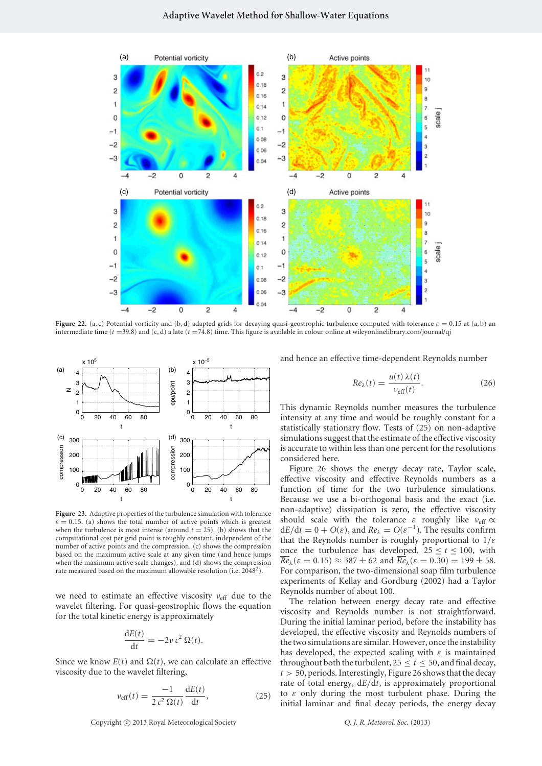

**Figure 22.** (a, c) Potential vorticity and (b, d) adapted grids for decaying quasi-geostrophic turbulence computed with tolerance *ε* = 0*.*15 at (a, b) an intermediate time  $(t = 39.8)$  and  $(c, d)$  a late  $(t = 74.8)$  time. This figure is available in colour online at wileyonlinelibrary.com/journal/qj



**Figure 23.** Adaptive properties of the turbulence simulation with tolerance  $\varepsilon = 0.15$ . (a) shows the total number of active points which is greatest when the turbulence is most intense (around  $t = 25$ ). (b) shows that the computational cost per grid point is roughly constant, independent of the number of active points and the compression. (c) shows the compression based on the maximum active scale at any given time (and hence jumps when the maximum active scale changes), and (d) shows the compression rate measured based on the maximum allowable resolution (i.e. 20482).

we need to estimate an effective viscosity *ν*eff due to the wavelet filtering. For quasi-geostrophic flows the equation for the total kinetic energy is approximately

$$
\frac{\mathrm{d}E(t)}{\mathrm{d}t} = -2\nu c^2 \,\Omega(t).
$$

Since we know  $E(t)$  and  $\Omega(t)$ , we can calculate an effective viscosity due to the wavelet filtering,

$$
\nu_{\rm eff}(t) = \frac{-1}{2 c^2 \, \Omega(t)} \frac{\mathrm{d}E(t)}{\mathrm{d}t},\tag{25}
$$

and hence an effective time-dependent Reynolds number

$$
Re_{\lambda}(t) = \frac{u(t)\,\lambda(t)}{v_{\text{eff}}(t)}.\tag{26}
$$

This dynamic Reynolds number measures the turbulence intensity at any time and would be roughly constant for a statistically stationary flow. Tests of (25) on non-adaptive simulations suggest that the estimate of the effective viscosity is accurate to within less than one percent for the resolutions considered here.

Figure 26 shows the energy decay rate, Taylor scale, effective viscosity and effective Reynolds numbers as a function of time for the two turbulence simulations. Because we use a bi-orthogonal basis and the exact (i.e. non-adaptive) dissipation is zero, the effective viscosity should scale with the tolerance  $\varepsilon$  roughly like  $v_{\text{eff}} \propto$  $dE/dt = 0 + O(\varepsilon)$ , and  $Re_{\lambda} = O(\varepsilon^{-1})$ . The results confirm that the Reynolds number is roughly proportional to 1*/ε* once the turbulence has developed,  $25 \le t \le 100$ , with  $\overline{Re}_{\lambda}(\varepsilon = 0.15) \approx 387 \pm 62$  and  $\overline{Re}_{\lambda}(\varepsilon = 0.30) = 199 \pm 58$ . For comparison, the two-dimensional soap film turbulence experiments of Kellay and Gordburg (2002) had a Taylor Reynolds number of about 100.

The relation between energy decay rate and effective viscosity and Reynolds number is not straightforward. During the initial laminar period, before the instability has developed, the effective viscosity and Reynolds numbers of the two simulations are similar. However, once the instability has developed, the expected scaling with *ε* is maintained throughout both the turbulent,  $25 \le t \le 50$ , and final decay, *t >* 50, periods. Interestingly, Figure 26 shows that the decay rate of total energy, d*E/*d*t*, is approximately proportional to *ε* only during the most turbulent phase. During the initial laminar and final decay periods, the energy decay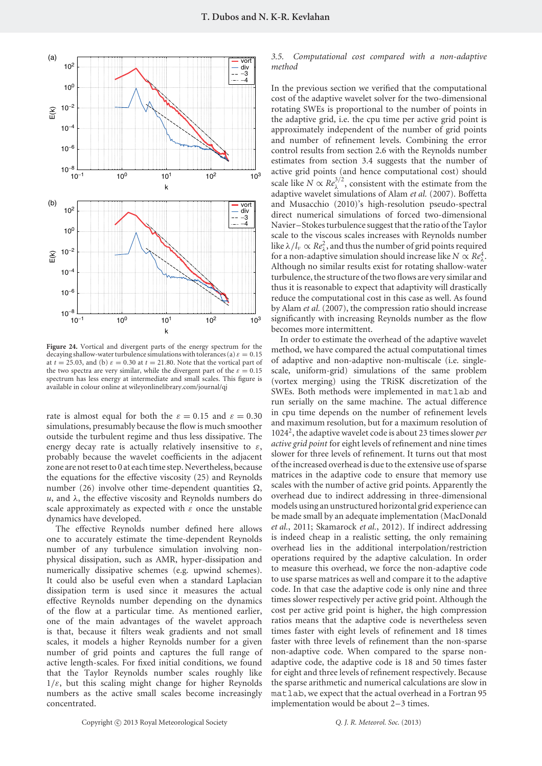

**Figure 24.** Vortical and divergent parts of the energy spectrum for the decaying shallow-water turbulence simulations with tolerances (a)  $\varepsilon = 0.15$ at  $t = 25.03$ , and (b)  $\varepsilon = 0.30$  at  $t = 21.80$ . Note that the vortical part of the two spectra are very similar, while the divergent part of the  $\varepsilon = 0.15$ spectrum has less energy at intermediate and small scales. This figure is available in colour online at wileyonlinelibrary.com/journal/qj

rate is almost equal for both the  $\varepsilon = 0.15$  and  $\varepsilon = 0.30$ simulations, presumably because the flow is much smoother outside the turbulent regime and thus less dissipative. The energy decay rate is actually relatively insensitive to *ε*, probably because the wavelet coefficients in the adjacent zone are not reset to 0 at each time step. Nevertheless, because the equations for the effective viscosity (25) and Reynolds number (26) involve other time-dependent quantities  $\Omega$ ,  $u$ , and  $\lambda$ , the effective viscosity and Reynolds numbers do scale approximately as expected with *ε* once the unstable dynamics have developed.

The effective Reynolds number defined here allows one to accurately estimate the time-dependent Reynolds number of any turbulence simulation involving nonphysical dissipation, such as AMR, hyper-dissipation and numerically dissipative schemes (e.g. upwind schemes). It could also be useful even when a standard Laplacian dissipation term is used since it measures the actual effective Reynolds number depending on the dynamics of the flow at a particular time. As mentioned earlier, one of the main advantages of the wavelet approach is that, because it filters weak gradients and not small scales, it models a higher Reynolds number for a given number of grid points and captures the full range of active length-scales. For fixed initial conditions, we found that the Taylor Reynolds number scales roughly like  $1/\varepsilon$ , but this scaling might change for higher Reynolds numbers as the active small scales become increasingly concentrated.

# *3.5. Computational cost compared with a non-adaptive method*

In the previous section we verified that the computational cost of the adaptive wavelet solver for the two-dimensional rotating SWEs is proportional to the number of points in the adaptive grid, i.e. the cpu time per active grid point is approximately independent of the number of grid points and number of refinement levels. Combining the error control results from section 2.6 with the Reynolds number estimates from section 3.4 suggests that the number of active grid points (and hence computational cost) should scale like  $N \propto Re_{\lambda}^{3/2}$ , consistent with the estimate from the adaptive wavelet simulations of Alam *et al.* (2007). Boffetta and Musacchio (2010)'s high-resolution pseudo-spectral direct numerical simulations of forced two-dimensional Navier–Stokes turbulence suggest that the ratio of the Taylor scale to the viscous scales increases with Reynolds number like  $\lambda/l_v \propto Re_\lambda^2$ , and thus the number of grid points required for a non-adaptive simulation should increase like  $N \propto Re_{\lambda}^{4}$ . Although no similar results exist for rotating shallow-water turbulence, the structure of the two flows are very similar and thus it is reasonable to expect that adaptivity will drastically reduce the computational cost in this case as well. As found by Alam *et al.* (2007), the compression ratio should increase significantly with increasing Reynolds number as the flow becomes more intermittent.

In order to estimate the overhead of the adaptive wavelet method, we have compared the actual computational times of adaptive and non-adaptive non-multiscale (i.e. singlescale, uniform-grid) simulations of the same problem (vortex merging) using the TRiSK discretization of the SWEs. Both methods were implemented in matlab and run serially on the same machine. The actual difference in cpu time depends on the number of refinement levels and maximum resolution, but for a maximum resolution of 10242, the adaptive wavelet code is about 23 times slower *per active grid point* for eight levels of refinement and nine times slower for three levels of refinement. It turns out that most of the increased overhead is due to the extensive use of sparse matrices in the adaptive code to ensure that memory use scales with the number of active grid points. Apparently the overhead due to indirect addressing in three-dimensional models using an unstructured horizontal grid experience can be made small by an adequate implementation (MacDonald *et al.*, 2011; Skamarock *et al.*, 2012). If indirect addressing is indeed cheap in a realistic setting, the only remaining overhead lies in the additional interpolation/restriction operations required by the adaptive calculation. In order to measure this overhead, we force the non-adaptive code to use sparse matrices as well and compare it to the adaptive code. In that case the adaptive code is only nine and three times slower respectively per active grid point. Although the cost per active grid point is higher, the high compression ratios means that the adaptive code is nevertheless seven times faster with eight levels of refinement and 18 times faster with three levels of refinement than the non-sparse non-adaptive code. When compared to the sparse nonadaptive code, the adaptive code is 18 and 50 times faster for eight and three levels of refinement respectively. Because the sparse arithmetic and numerical calculations are slow in matlab, we expect that the actual overhead in a Fortran 95 implementation would be about 2–3 times.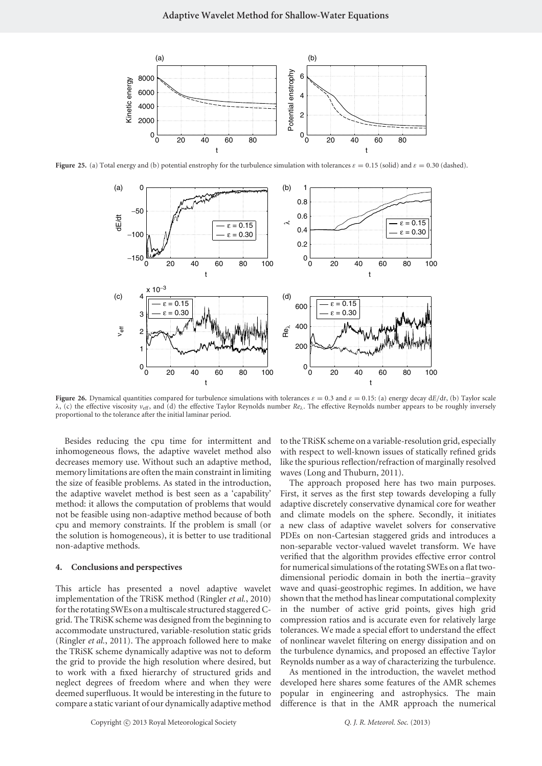

**Figure 25.** (a) Total energy and (b) potential enstrophy for the turbulence simulation with tolerances  $\varepsilon = 0.15$  (solid) and  $\varepsilon = 0.30$  (dashed).



**Figure 26.** Dynamical quantities compared for turbulence simulations with tolerances  $\varepsilon = 0.3$  and  $\varepsilon = 0.15$ : (a) energy decay dE/dt, (b) Taylor scale *λ*, (c) the effective viscosity *ν*eff , and (d) the effective Taylor Reynolds number *Reλ*. The effective Reynolds number appears to be roughly inversely proportional to the tolerance after the initial laminar period.

Besides reducing the cpu time for intermittent and inhomogeneous flows, the adaptive wavelet method also decreases memory use. Without such an adaptive method, memory limitations are often the main constraint in limiting the size of feasible problems. As stated in the introduction, the adaptive wavelet method is best seen as a 'capability' method: it allows the computation of problems that would not be feasible using non-adaptive method because of both cpu and memory constraints. If the problem is small (or the solution is homogeneous), it is better to use traditional non-adaptive methods.

# **4. Conclusions and perspectives**

This article has presented a novel adaptive wavelet implementation of the TRiSK method (Ringler *et al.*, 2010) for the rotating SWEs on a multiscale structured staggered Cgrid. The TRiSK scheme was designed from the beginning to accommodate unstructured, variable-resolution static grids (Ringler *et al.*, 2011). The approach followed here to make the TRiSK scheme dynamically adaptive was not to deform the grid to provide the high resolution where desired, but to work with a fixed hierarchy of structured grids and neglect degrees of freedom where and when they were deemed superfluous. It would be interesting in the future to compare a static variant of our dynamically adaptive method

to the TRiSK scheme on a variable-resolution grid, especially with respect to well-known issues of statically refined grids like the spurious reflection/refraction of marginally resolved waves (Long and Thuburn, 2011).

The approach proposed here has two main purposes. First, it serves as the first step towards developing a fully adaptive discretely conservative dynamical core for weather and climate models on the sphere. Secondly, it initiates a new class of adaptive wavelet solvers for conservative PDEs on non-Cartesian staggered grids and introduces a non-separable vector-valued wavelet transform. We have verified that the algorithm provides effective error control for numerical simulations of the rotating SWEs on a flat twodimensional periodic domain in both the inertia–gravity wave and quasi-geostrophic regimes. In addition, we have shown that the method has linear computational complexity in the number of active grid points, gives high grid compression ratios and is accurate even for relatively large tolerances. We made a special effort to understand the effect of nonlinear wavelet filtering on energy dissipation and on the turbulence dynamics, and proposed an effective Taylor Reynolds number as a way of characterizing the turbulence.

As mentioned in the introduction, the wavelet method developed here shares some features of the AMR schemes popular in engineering and astrophysics. The main difference is that in the AMR approach the numerical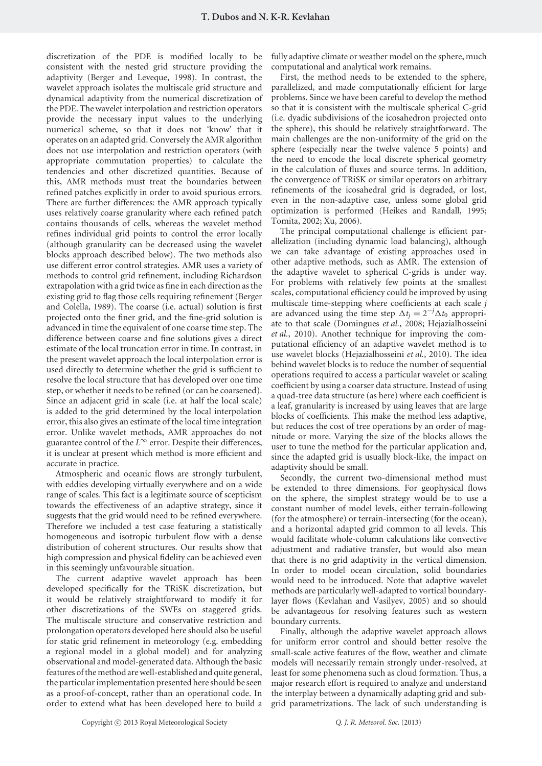discretization of the PDE is modified locally to be consistent with the nested grid structure providing the adaptivity (Berger and Leveque, 1998). In contrast, the wavelet approach isolates the multiscale grid structure and dynamical adaptivity from the numerical discretization of the PDE. The wavelet interpolation and restriction operators provide the necessary input values to the underlying numerical scheme, so that it does not 'know' that it operates on an adapted grid. Conversely the AMR algorithm does not use interpolation and restriction operators (with appropriate commutation properties) to calculate the tendencies and other discretized quantities. Because of this, AMR methods must treat the boundaries between refined patches explicitly in order to avoid spurious errors. There are further differences: the AMR approach typically uses relatively coarse granularity where each refined patch contains thousands of cells, whereas the wavelet method refines individual grid points to control the error locally (although granularity can be decreased using the wavelet blocks approach described below). The two methods also use different error control strategies. AMR uses a variety of methods to control grid refinement, including Richardson extrapolation with a grid twice as fine in each direction as the existing grid to flag those cells requiring refinement (Berger and Colella, 1989). The coarse (i.e. actual) solution is first projected onto the finer grid, and the fine-grid solution is advanced in time the equivalent of one coarse time step. The difference between coarse and fine solutions gives a direct estimate of the local truncation error in time. In contrast, in the present wavelet approach the local interpolation error is used directly to determine whether the grid is sufficient to resolve the local structure that has developed over one time step, or whether it needs to be refined (or can be coarsened). Since an adjacent grid in scale (i.e. at half the local scale) is added to the grid determined by the local interpolation error, this also gives an estimate of the local time integration error. Unlike wavelet methods, AMR approaches do not guarantee control of the  $L^\infty$  error. Despite their differences, it is unclear at present which method is more efficient and accurate in practice.

Atmospheric and oceanic flows are strongly turbulent, with eddies developing virtually everywhere and on a wide range of scales. This fact is a legitimate source of scepticism towards the effectiveness of an adaptive strategy, since it suggests that the grid would need to be refined everywhere. Therefore we included a test case featuring a statistically homogeneous and isotropic turbulent flow with a dense distribution of coherent structures. Our results show that high compression and physical fidelity can be achieved even in this seemingly unfavourable situation.

The current adaptive wavelet approach has been developed specifically for the TRiSK discretization, but it would be relatively straightforward to modify it for other discretizations of the SWEs on staggered grids. The multiscale structure and conservative restriction and prolongation operators developed here should also be useful for static grid refinement in meteorology (e.g. embedding a regional model in a global model) and for analyzing observational and model-generated data. Although the basic features of the method are well-established and quite general, the particular implementation presented here should be seen as a proof-of-concept, rather than an operational code. In order to extend what has been developed here to build a

fully adaptive climate or weather model on the sphere, much computational and analytical work remains.

First, the method needs to be extended to the sphere, parallelized, and made computationally efficient for large problems. Since we have been careful to develop the method so that it is consistent with the multiscale spherical C-grid (i.e. dyadic subdivisions of the icosahedron projected onto the sphere), this should be relatively straightforward. The main challenges are the non-uniformity of the grid on the sphere (especially near the twelve valence 5 points) and the need to encode the local discrete spherical geometry in the calculation of fluxes and source terms. In addition, the convergence of TRiSK or similar operators on arbitrary refinements of the icosahedral grid is degraded, or lost, even in the non-adaptive case, unless some global grid optimization is performed (Heikes and Randall, 1995; Tomita, 2002; Xu, 2006).

The principal computational challenge is efficient parallelization (including dynamic load balancing), although we can take advantage of existing approaches used in other adaptive methods, such as AMR. The extension of the adaptive wavelet to spherical C-grids is under way. For problems with relatively few points at the smallest scales, computational efficiency could be improved by using multiscale time-stepping where coefficients at each scale *j* are advanced using the time step  $\Delta t_j = 2^{-j} \Delta t_0$  appropriate to that scale (Domingues *et al.*, 2008; Hejazialhosseini *et al.*, 2010). Another technique for improving the computational efficiency of an adaptive wavelet method is to use wavelet blocks (Hejazialhosseini *et al.*, 2010). The idea behind wavelet blocks is to reduce the number of sequential operations required to access a particular wavelet or scaling coefficient by using a coarser data structure. Instead of using a quad-tree data structure (as here) where each coefficient is a leaf, granularity is increased by using leaves that are large blocks of coefficients. This make the method less adaptive, but reduces the cost of tree operations by an order of magnitude or more. Varying the size of the blocks allows the user to tune the method for the particular application and, since the adapted grid is usually block-like, the impact on adaptivity should be small.

Secondly, the current two-dimensional method must be extended to three dimensions. For geophysical flows on the sphere, the simplest strategy would be to use a constant number of model levels, either terrain-following (for the atmosphere) or terrain-intersecting (for the ocean), and a horizontal adapted grid common to all levels. This would facilitate whole-column calculations like convective adjustment and radiative transfer, but would also mean that there is no grid adaptivity in the vertical dimension. In order to model ocean circulation, solid boundaries would need to be introduced. Note that adaptive wavelet methods are particularly well-adapted to vortical boundarylayer flows (Kevlahan and Vasilyev, 2005) and so should be advantageous for resolving features such as western boundary currents.

Finally, although the adaptive wavelet approach allows for uniform error control and should better resolve the small-scale active features of the flow, weather and climate models will necessarily remain strongly under-resolved, at least for some phenomena such as cloud formation. Thus, a major research effort is required to analyze and understand the interplay between a dynamically adapting grid and subgrid parametrizations. The lack of such understanding is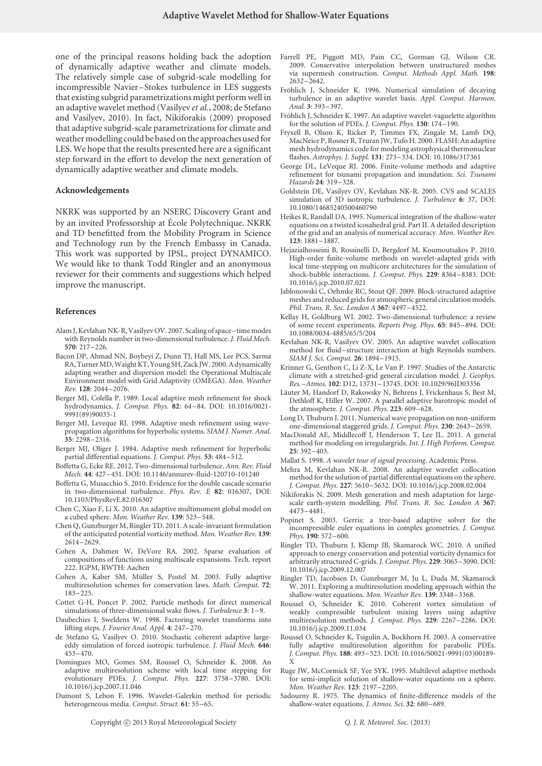one of the principal reasons holding back the adoption of dynamically adaptive weather and climate models. The relatively simple case of subgrid-scale modelling for incompressible Navier–Stokes turbulence in LES suggests that existing subgrid parametrizations might perform well in an adaptive wavelet method (Vasilyev *et al.*, 2008; de Stefano and Vasilyev, 2010). In fact, Nikiforakis (2009) proposed that adaptive subgrid-scale parametrizations for climate and weather modelling could be based on the approaches used for LES. We hope that the results presented here are a significant step forward in the effort to develop the next generation of dynamically adaptive weather and climate models.

#### **Acknowledgements**

NKRK was supported by an NSERC Discovery Grant and by an invited Professorship at École Polytechnique. NKRK and TD benefitted from the Mobility Program in Science and Technology run by the French Embassy in Canada. This work was supported by IPSL, project DYNAMICO. We would like to thank Todd Ringler and an anonymous reviewer for their comments and suggestions which helped improve the manuscript.

#### **References**

- Alam J, Kevlahan NK-R, Vasilyev OV. 2007. Scaling of space–time modes with Reynolds number in two-dimensional turbulence. *J. Fluid Mech.* **570**: 217–226.
- Bacon DP, Ahmad NN, Boybeyi Z, Dunn TJ, Hall MS, Lee PCS, Sarma RA, Turner MD, Waight KT, Young SH, Zack JW. 2000. A dynamically adapting weather and dispersion model: the Operational Multiscale Environment model with Grid Adaptivity (OMEGA). *Mon. Weather Rev.* **128**: 2044–2076.
- Berger MJ, Colella P. 1989. Local adaptive mesh refinement for shock hydrodynamics. *J. Comput. Phys.* **82**: 64–84. DOI: 10.1016/0021- 9991(89)90035-1
- Berger MJ, Leveque RJ. 1998. Adaptive mesh refinement using wavepropagation algorithms for hyperbolic systems. *SIAM J. Numer. Anal.* **35**: 2298–2316.
- Berger MJ, Oliger J. 1984. Adaptive mesh refinement for hyperbolic partial differential equations. *J. Comput. Phys.* **53**: 484–512.
- Boffetta G, Ecke RE. 2012. Two-dimensional turbulence. *Ann. Rev. Fluid Mech.* **44**: 427–451. DOI: 10.1146/annurev-fluid-120710-101240
- Boffetta G, Musacchio S. 2010. Evidence for the double cascade scenario in two-dimensional turbulence. *Phys. Rev. E* **82**: 016307, DOI: 10.1103/PhysRevE.82.016307
- Chen C, Xiao F, Li X. 2010. An adaptive multimoment global model on a cubed sphere. *Mon. Weather Rev.* **139**: 523–548.
- Chen Q, Gunzburger M, Ringler TD. 2011. A scale-invariant formulation of the anticipated potential vorticity method. *Mon. Weather Rev.* **139**: 2614–2629.
- Cohen A, Dahmen W, DeVore RA. 2002. Sparse evaluation of compositions of functions using multiscale expansions. Tech. report 222. IGPM, RWTH: Aachen
- Cohen A, Kaber SM, Müller S, Postel M. 2003. Fully adaptive multiresolution schemes for conservation laws. *Math. Comput.* **72**: 183–225.
- Cottet G-H, Poncet P. 2002. Particle methods for direct numerical simulations of three-dimensional wake flows. *J. Turbulence* **3**: 1–9.
- Daubechies I, Sweldens W. 1998. Factoring wavelet transforms into lifting steps. *J. Fourier Anal. Appl.* **4**: 247–270.
- de Stefano G, Vasilyev O. 2010. Stochastic coherent adaptive largeeddy simulation of forced isotropic turbulence. *J. Fluid Mech.* **646**: 453–470.
- Domingues MO, Gomes SM, Roussel O, Schneider K. 2008. An adaptive multiresolution scheme with local time stepping for evolutionary PDEs. *J. Comput. Phys.* **227**: 3758–3780. DOI: 10.1016/j.jcp.2007.11.046
- Dumont S, Lebon F. 1996. Wavelet-Galerkin method for periodic heterogeneous media. *Comput. Struct.* **61**: 55–65.
- Farrell PE, Piggott MD, Pain CC, Gorman GJ, Wilson CR. 2009. Conservative interpolation between unstructured meshes via supermesh construction. *Comput. Methods Appl. Math.* **198**: 2632–2642.
- Fröhlich J, Schneider K. 1996. Numerical simulation of decaying turbulence in an adaptive wavelet basis. *Appl. Comput. Harmon. Anal.* **3**: 393–397.
- Fröhlich J, Schneider K. 1997. An adaptive wavelet-vaguelette algorithm for the solution of PDEs. *J. Comput. Phys.* **130**: 174–190.
- Fryxell B, Olson K, Ricker P, Timmes FX, Zingale M, Lamb DQ, MacNeice P, Rosner R, Truran JW, Tufo H. 2000. FLASH: An adaptive mesh hydrodynamics code for modeling astrophysical thermonuclear flashes. *Astrophys. J. Suppl.* **131**: 273–334. DOI: 10.1086/317361
- George DL, LeVeque RJ. 2006. Finite-volume methods and adaptive refinement for tsunami propagation and inundation. *Sci. Tsunami Hazards* **24**: 319–328.
- Goldstein DE, Vasilyev OV, Kevlahan NK-R. 2005. CVS and SCALES simulation of 3D isotropic turbulence. *J. Turbulence* **6**: 37, DOI: 10.1080/14685240500460790
- Heikes R, Randall DA. 1995. Numerical integration of the shallow-water equations on a twisted icosahedral grid. Part II. A detailed description of the grid and an analysis of numerical accuracy. *Mon. Weather Rev.* **123**: 1881–1887.
- Hejazialhosseini B, Rossinelli D, Bergdorf M, Koumoutsakos P. 2010. High-order finite-volume methods on wavelet-adapted grids with local time-stepping on multicore architectures for the simulation of shock-bubble interactions. *J. Comput. Phys.* **229**: 8364–8383. DOI: 10.1016/j.jcp.2010.07.021
- Jablonowski C, Oehmke RC, Stout QF. 2009. Block-structured adaptive meshes and reduced grids for atmospheric general circulation models. *Phil. Trans. R. Soc. London A* **367**: 4497–4522.
- Kellay H, Goldburg WI. 2002. Two-dimensional turbulence: a review of some recent experiments. *Reports Prog. Phys.* **65**: 845–894. DOI: 10.1088/0034-4885/65/5/204
- Kevlahan NK-R, Vasilyev OV. 2005. An adaptive wavelet collocation method for fluid–structure interaction at high Reynolds numbers. *SIAM J. Sci. Comput.* **26**: 1894–1915.
- Krinner G, Genthon C, Li Z-X, Le Van P. 1997. Studies of the Antarctic climate with a stretched-grid general circulation model. *J. Geophys. Res.–Atmos.* **102**: D12, 13731–13745. DOI: 10.1029/96JD03356
- Läuter M, Handorf D, Rakowsky N, Behrens J, Frickenhaus S, Best M, Dethloff K, Hiller W. 2007. A parallel adaptive barotropic model of the atmosphere. *J. Comput. Phys.* **223**: 609–628.
- Long D, Thuburn J. 2011. Numerical wave propagation on non-uniform one-dimensional staggered grids. *J. Comput. Phys.* **230**: 2643–2659.
- MacDonald AE, Middlecoff J, Henderson T, Lee JL. 2011. A general method for modeling on irregulargrids. *Int. J. High Perform. Comput.* **25**: 392–403.
- Mallat S. 1998. *A wavelet tour of signal processing*. Academic Press.
- Mehra M, Kevlahan NK-R. 2008. An adaptive wavelet collocation method for the solution of partial differential equations on the sphere. *J. Comput. Phys.* **227**: 5610–5632. DOI: 10.1016/j.jcp.2008.02.004
- Nikiforakis N. 2009. Mesh generation and mesh adaptation for largescale earth-system modelling. *Phil. Trans. R. Soc. London A* **367**: 4473–4481.
- Popinet S. 2003. Gerris: a tree-based adaptive solver for the incompressible euler equations in complex geometries. *J. Comput. Phys.* **190**: 572–600.
- Ringler TD, Thuburn J, Klemp JB, Skamarock WC. 2010. A unified approach to energy conservation and potential vorticity dynamics for arbitrarily structured C-grids. *J. Comput. Phys.* **229**: 3065–3090. DOI: 10.1016/j.jcp.2009.12.007
- Ringler TD, Jacobsen D, Gunzburger M, Ju L, Duda M, Skamarock W. 2011. Exploring a multiresolution modeling approach within the shallow-water equations. *Mon. Weather Rev.* **139**: 3348–3368.
- Roussel O, Schneider K. 2010. Coherent vortex simulation of weakly compressible turbulent mixing layers using adaptive multiresolution methods. *J. Comput. Phys.* **229**: 2267–2286. DOI: 10.1016/j.jcp.2009.11.034
- Roussel O, Schneider K, Tsigulin A, Bockhorn H. 2003. A conservative fully adaptive multiresolution algorithm for parabolic PDEs. *J. Comput. Phys.* **188**: 493–523. DOI: 10.1016/S0021-9991(03)00189- X
- Ruge JW, McCormick SF, Yee SYK. 1995. Multilevel adaptive methods for semi-implicit solution of shallow-water equations on a sphere. *Mon. Weather Rev.* **123**: 2197–2205.
- Sadourny R. 1975. The dynamics of finite-difference models of the shallow-water equations. *J. Atmos. Sci.* **32**: 680–689.